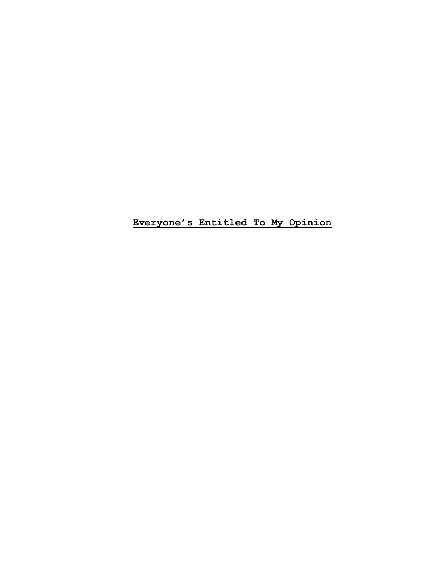**Everyone's Entitled To My Opinion**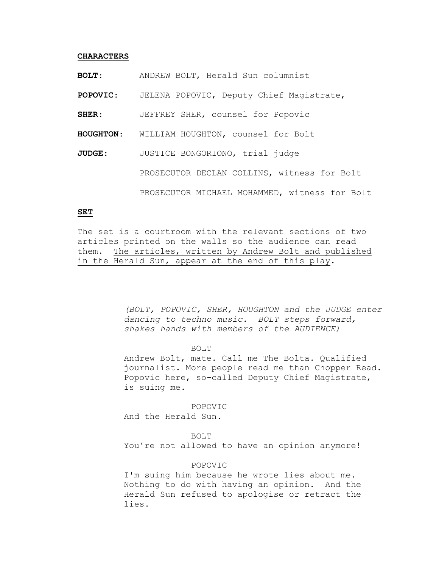### **CHARACTERS**

**BOLT**: ANDREW BOLT, Herald Sun columnist

**POPOVIC**: JELENA POPOVIC, Deputy Chief Magistrate,

**SHER**: JEFFREY SHER, counsel for Popovic

**HOUGHTON**: WILLIAM HOUGHTON, counsel for Bolt

**JUDGE**: JUSTICE BONGORIONO, trial judge PROSECUTOR DECLAN COLLINS, witness for Bolt PROSECUTOR MICHAEL MOHAMMED, witness for Bolt

# **SET**

The set is a courtroom with the relevant sections of two articles printed on the walls so the audience can read them. The articles, written by Andrew Bolt and published in the Herald Sun, appear at the end of this play.

> *(BOLT, POPOVIC, SHER, HOUGHTON and the JUDGE enter dancing to techno music. BOLT steps forward, shakes hands with members of the AUDIENCE)*

### BOLT

Andrew Bolt, mate. Call me The Bolta. Qualified journalist. More people read me than Chopper Read. Popovic here, so-called Deputy Chief Magistrate, is suing me.

POPOVIC

And the Herald Sun.

### BOLT

You're not allowed to have an opinion anymore!

# POPOVIC

I'm suing him because he wrote lies about me. Nothing to do with having an opinion. And the Herald Sun refused to apologise or retract the lies.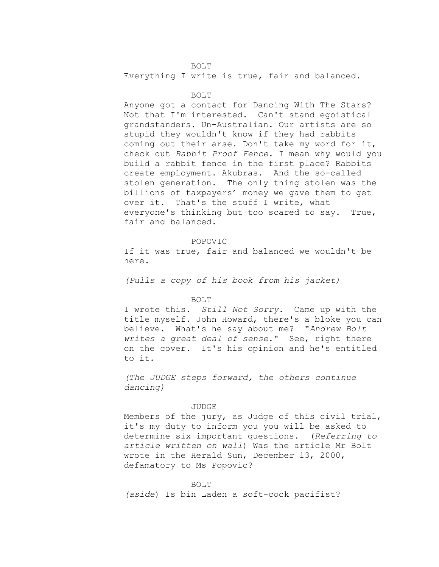BOLT Everything I write is true, fair and balanced.

### BOLT

Anyone got a contact for Dancing With The Stars? Not that I'm interested. Can't stand egoistical grandstanders. Un-Australian. Our artists are so stupid they wouldn't know if they had rabbits coming out their arse. Don't take my word for it, check out *Rabbit Proof Fence*. I mean why would you build a rabbit fence in the first place? Rabbits create employment. Akubras. And the so-called stolen generation. The only thing stolen was the billions of taxpayers' money we gave them to get over it. That's the stuff I write, what everyone's thinking but too scared to say. True, fair and balanced.

### POPOVIC

If it was true, fair and balanced we wouldn't be here.

*(Pulls a copy of his book from his jacket)*

# BOLT

I wrote this. *Still Not Sorry*. Came up with the title myself. John Howard, there's a bloke you can believe. What's he say about me? "*Andrew Bolt writes a great deal of sense*." See, right there on the cover. It's his opinion and he's entitled to it.

*(The JUDGE steps forward, the others continue dancing)*

### JUDGE

Members of the jury, as Judge of this civil trial, it's my duty to inform you you will be asked to determine six important questions. (*Referring to article written on wall*) Was the article Mr Bolt wrote in the Herald Sun, December 13, 2000, defamatory to Ms Popovic?

#### BOLT

*(aside*) Is bin Laden a soft-cock pacifist?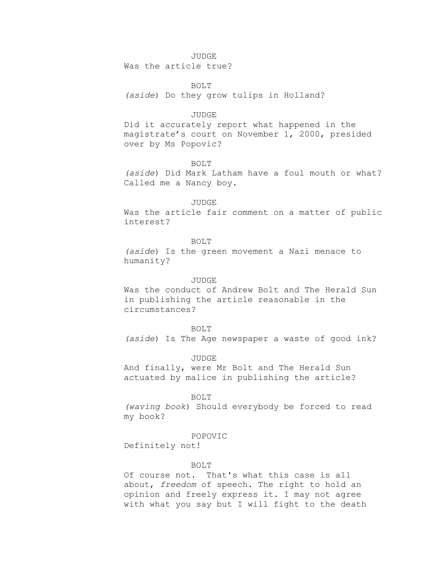### JUDGE

Was the article true?

BOLT

*(aside*) Do they grow tulips in Holland?

### JUDGE

Did it accurately report what happened in the magistrate's court on November 1, 2000, presided over by Ms Popovic?

# BOLT

*(aside*) Did Mark Latham have a foul mouth or what? Called me a Nancy boy.

### JUDGE

Was the article fair comment on a matter of public interest?

# BOLT

*(aside*) Is the green movement a Nazi menace to humanity?

### JUDGE

Was the conduct of Andrew Bolt and The Herald Sun in publishing the article reasonable in the circumstances?

#### BOLT

*(aside*) Is The Age newspaper a waste of good ink?

# JUDGE

And finally, were Mr Bolt and The Herald Sun actuated by malice in publishing the article?

### BOLT

*(waving book*) Should everybody be forced to read my book?

#### POPOVIC

Definitely not!

# BOLT

Of course not. That's what this case is all about, *freedom* of speech. The right to hold an opinion and freely express it. I may not agree with what you say but I will fight to the death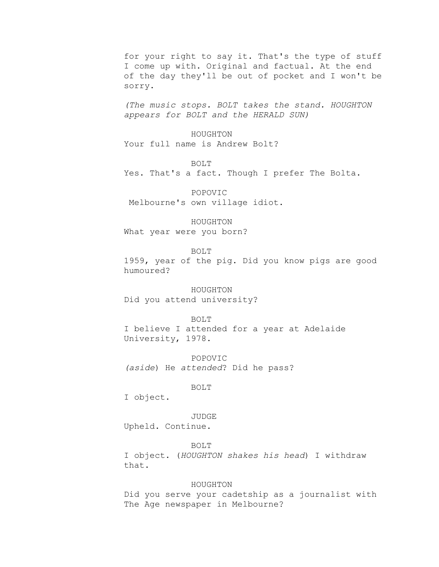for your right to say it. That's the type of stuff I come up with. Original and factual. At the end of the day they'll be out of pocket and I won't be sorry.

*(The music stops. BOLT takes the stand. HOUGHTON appears for BOLT and the HERALD SUN)*

HOUGHTON Your full name is Andrew Bolt?

BOLT

Yes. That's a fact. Though I prefer The Bolta.

POPOVIC Melbourne's own village idiot.

HOUGHTON What year were you born?

BOLT

1959, year of the pig. Did you know pigs are good humoured?

HOUGHTON Did you attend university?

BOLT

I believe I attended for a year at Adelaide University, 1978.

POPOVIC *(aside*) He *attended*? Did he pass?

BOLT

I object.

JUDGE Upheld. Continue.

BOLT I object. (*HOUGHTON shakes his head*) I withdraw that.

# HOUGHTON

Did you serve your cadetship as a journalist with The Age newspaper in Melbourne?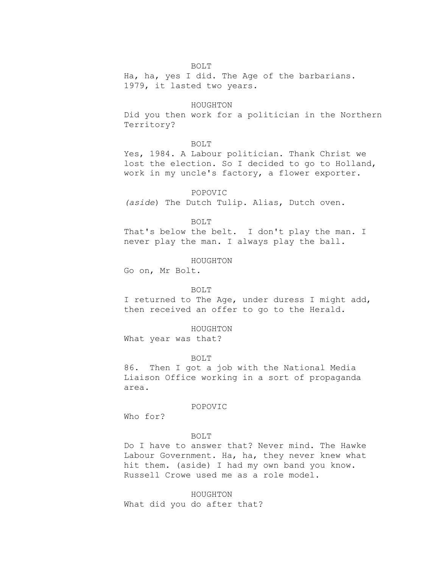# BOLT

Ha, ha, yes I did. The Age of the barbarians. 1979, it lasted two years.

### HOUGHTON

Did you then work for a politician in the Northern Territory?

### BOLT

Yes, 1984. A Labour politician. Thank Christ we lost the election. So I decided to go to Holland, work in my uncle's factory, a flower exporter.

POPOVIC

*(aside*) The Dutch Tulip. Alias, Dutch oven.

BOLT

That's below the belt. I don't play the man. I never play the man. I always play the ball.

HOUGHTON

Go on, Mr Bolt.

### BOLT

I returned to The Age, under duress I might add, then received an offer to go to the Herald.

HOUGHTON

What year was that?

BOLT

86. Then I got a job with the National Media Liaison Office working in a sort of propaganda area.

# POPOVIC

Who for?

# BOLT

Do I have to answer that? Never mind. The Hawke Labour Government. Ha, ha, they never knew what hit them. (aside) I had my own band you know. Russell Crowe used me as a role model.

HOUGHTON What did you do after that?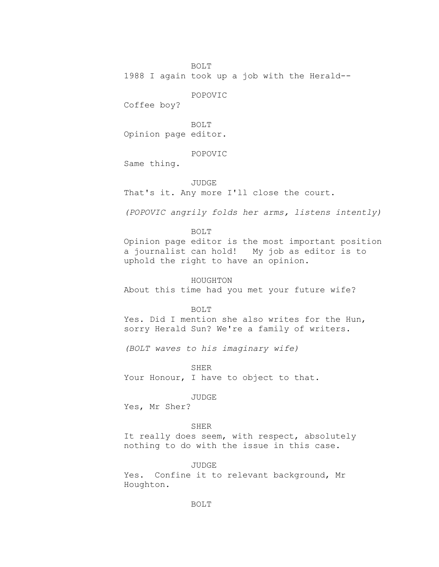BOLT

1988 I again took up a job with the Herald--

POPOVIC

Coffee boy?

BOLT Opinion page editor.

POPOVIC

Same thing.

# JUDGE

That's it. Any more I'll close the court.

*(POPOVIC angrily folds her arms, listens intently)*

# BOLT

Opinion page editor is the most important position a journalist can hold! My job as editor is to uphold the right to have an opinion.

HOUGHTON

About this time had you met your future wife?

### BOLT

Yes. Did I mention she also writes for the Hun, sorry Herald Sun? We're a family of writers.

*(BOLT waves to his imaginary wife)*

SHER

Your Honour, I have to object to that.

JUDGE

Yes, Mr Sher?

# SHER

It really does seem, with respect, absolutely nothing to do with the issue in this case.

# JUDGE

Yes. Confine it to relevant background, Mr Houghton.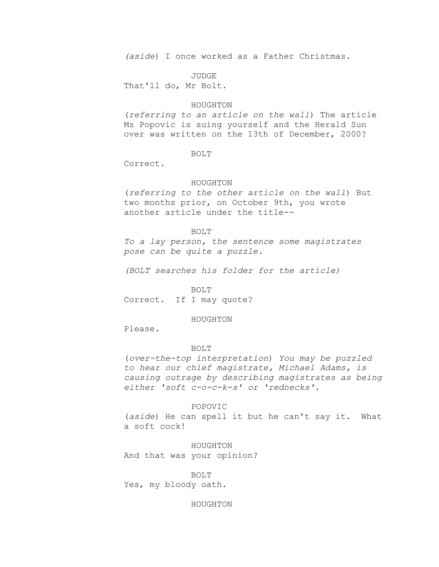*(aside*) I once worked as a Father Christmas.

JUDGE

That'll do, Mr Bolt.

# HOUGHTON

(*referring to an article on the wall*) The article Ms Popovic is suing yourself and the Herald Sun over was written on the 13th of December, 2000?

# BOLT

Correct.

# HOUGHTON

(*referring to the other article on the wall*) But two months prior, on October 9th, you wrote another article under the title--

### BOLT

*To a lay person, the sentence some magistrates pose can be quite a puzzle.*

*(BOLT searches his folder for the article)*

#### BOLT

Correct. If I may quote?

# HOUGHTON

Please.

### BOLT

(*over-the-top interpretation*) *You may be puzzled to hear our chief magistrate, Michael Adams, is causing outrage by describing magistrates as being either 'soft c-o-c-k-s' or 'rednecks'.*

#### POPOVIC

(*aside*) He can spell it but he can't say it. What a soft cock!

HOUGHTON And that was your opinion?

BOLT Yes, my bloody oath.

### HOUGHTON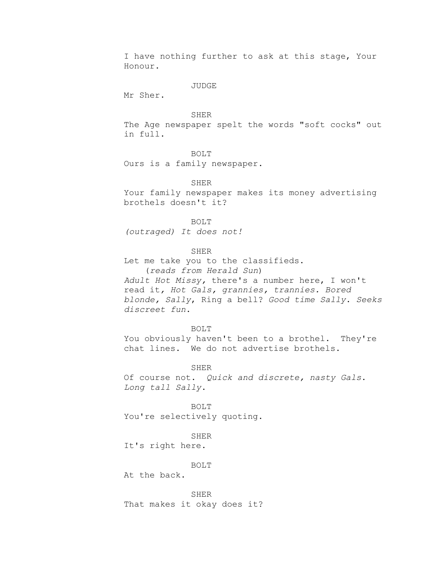I have nothing further to ask at this stage, Your Honour.

JUDGE

Mr Sher.

SHER

The Age newspaper spelt the words "soft cocks" out in full.

BOLT

Ours is a family newspaper.

SHER

Your family newspaper makes its money advertising brothels doesn't it?

BOLT

*(outraged) It does not!*

SHER

Let me take you to the classifieds.

(*reads from Herald Sun*)

*Adult Hot Missy,* there's a number here, I won't read it*, Hot Gals, grannies, trannies. Bored blonde, Sally*, Ring a bell? *Good time Sally*. *Seeks discreet fun*.

BOLT

You obviously haven't been to a brothel. They're chat lines. We do not advertise brothels.

SHER

Of course not. *Quick and discrete, nasty Gals*. *Long tall Sally*.

BOLT You're selectively quoting.

SHER

It's right here.

BOLT

At the back.

SHER That makes it okay does it?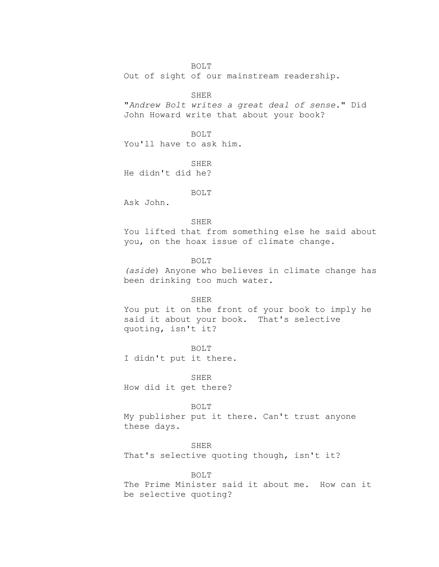# BOLT

Out of sight of our mainstream readership.

**SHER** 

"*Andrew Bolt writes a great deal of sense*." Did John Howard write that about your book?

BOLT

You'll have to ask him.

**SHER** He didn't did he?

BOLT

Ask John.

### SHER

You lifted that from something else he said about you, on the hoax issue of climate change.

BOLT

*(aside*) Anyone who believes in climate change has been drinking too much water.

# SHER

You put it on the front of your book to imply he said it about your book. That's selective quoting, isn't it?

BOLT

I didn't put it there.

SHER How did it get there?

# BOLT

My publisher put it there. Can't trust anyone these days.

# SHER

That's selective quoting though, isn't it?

# BOLT

The Prime Minister said it about me. How can it be selective quoting?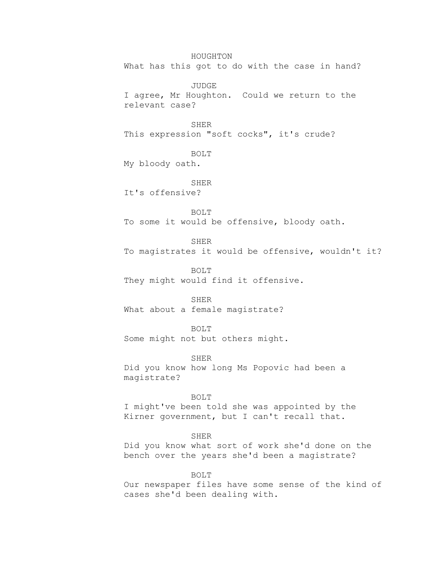HOUGHTON What has this got to do with the case in hand?

JUDGE I agree, Mr Houghton. Could we return to the relevant case?

SHER

This expression "soft cocks", it's crude?

BOLT

My bloody oath.

SHER It's offensive?

BOLT To some it would be offensive, bloody oath.

SHER To magistrates it would be offensive, wouldn't it?

BOLT They might would find it offensive.

SHER What about a female magistrate?

BOLT Some might not but others might.

SHER Did you know how long Ms Popovic had been a magistrate?

BOLT

I might've been told she was appointed by the Kirner government, but I can't recall that.

SHER

Did you know what sort of work she'd done on the bench over the years she'd been a magistrate?

BOLT

Our newspaper files have some sense of the kind of cases she'd been dealing with.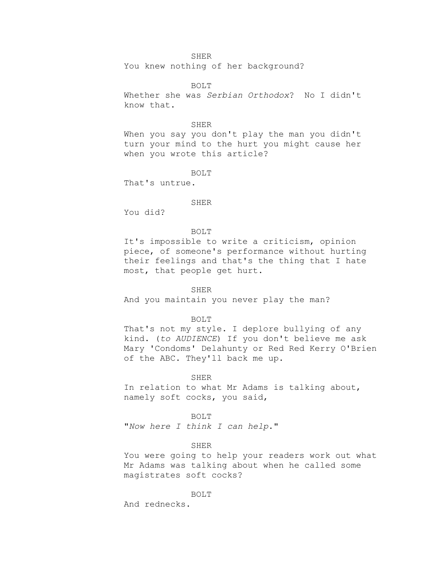# SHER

You knew nothing of her background?

BOLT

Whether she was *Serbian Orthodox*? No I didn't know that.

#### SHER

When you say you don't play the man you didn't turn your mind to the hurt you might cause her when you wrote this article?

BOLT

That's untrue.

# SHER

You did?

# BOLT

It's impossible to write a criticism, opinion piece, of someone's performance without hurting their feelings and that's the thing that I hate most, that people get hurt.

# SHER

And you maintain you never play the man?

### BOLT

That's not my style. I deplore bullying of any kind. (*to AUDIENCE*) If you don't believe me ask Mary 'Condoms' Delahunty or Red Red Kerry O'Brien of the ABC. They'll back me up.

### SHER

In relation to what Mr Adams is talking about, namely soft cocks, you said,

BOLT

"*Now here I think I can help*."

# SHER

You were going to help your readers work out what Mr Adams was talking about when he called some magistrates soft cocks?

#### BOLT

And rednecks.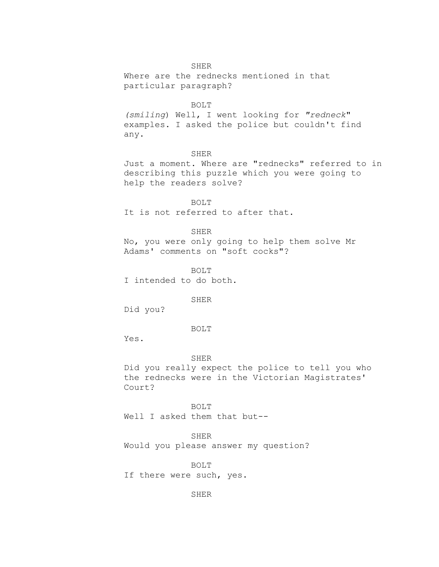# SHER

Where are the rednecks mentioned in that particular paragraph?

### BOLT

*(smiling*) Well, I went looking for *"redneck*" examples. I asked the police but couldn't find any.

# SHER

Just a moment. Where are "rednecks" referred to in describing this puzzle which you were going to help the readers solve?

BOLT It is not referred to after that.

# SHER

No, you were only going to help them solve Mr Adams' comments on "soft cocks"?

BOLT I intended to do both.

# SHER

Did you?

#### BOLT

Yes.

# SHER

Did you really expect the police to tell you who the rednecks were in the Victorian Magistrates' Court?

BOLT Well I asked them that but--

SHER

Would you please answer my question?

BOLT

If there were such, yes.

SHER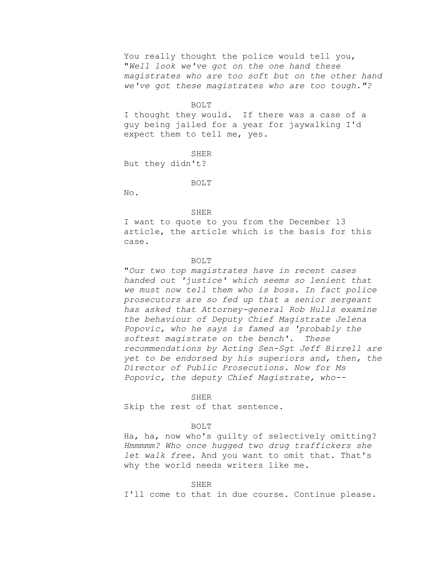You really thought the police would tell you, "*Well look we've got on the one hand these magistrates who are too soft but on the other hand we've got these magistrates who are too tough."?*

#### BOLT

I thought they would. If there was a case of a guy being jailed for a year for jaywalking I'd expect them to tell me, yes.

**SHER** 

But they didn't?

#### BOLT

No.

#### SHER

I want to quote to you from the December 13 article, the article which is the basis for this case.

# BOLT

"*Our two top magistrates have in recent cases handed out 'justice' which seems so lenient that we must now tell them who is boss. In fact police prosecutors are so fed up that a senior sergeant has asked that Attorney-general Rob Hulls examine the behaviour of Deputy Chief Magistrate Jelena Popovic, who he says is famed as 'probably the softest magistrate on the bench'. These recommendations by Acting Sen-Sgt Jeff Birrell are yet to be endorsed by his superiors and, then, the Director of Public Prosecutions. Now for Ms Popovic, the deputy Chief Magistrate, who--*

# SHER

Skip the rest of that sentence.

# BOLT

Ha, ha, now who's guilty of selectively omitting? *Hmmmmm? Who once hugged two drug traffickers she let walk free.* And you want to omit that. That's why the world needs writers like me*.*

## SHER

I'll come to that in due course. Continue please.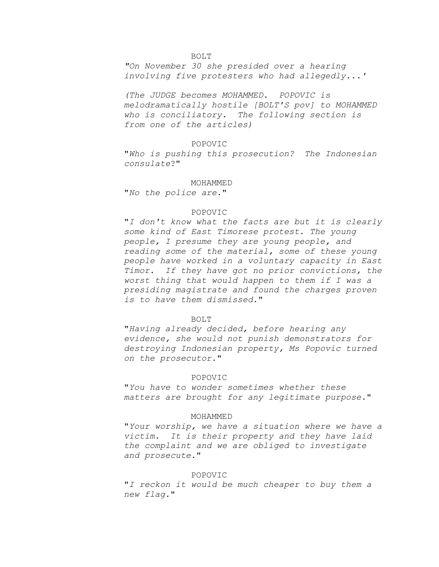#### BOLT

*"On November 30 she presided over a hearing involving five protesters who had allegedly...'*

*(The JUDGE becomes MOHAMMED. POPOVIC is melodramatically hostile [BOLT'S pov] to MOHAMMED who is conciliatory. The following section is from one of the articles)*

### POPOVIC

"*Who is pushing this prosecution? The Indonesian consulate*?"

#### MOHAMMED

"*No the police are*."

# POPOVIC

"*I don't know what the facts are but it is clearly some kind of East Timorese protest. The young people, I presume they are young people, and reading some of the material, some of these young people have worked in a voluntary capacity in East Timor. If they have got no prior convictions, the worst thing that would happen to them if I was a presiding magistrate and found the charges proven is to have them dismissed*."

### BOLT

"*Having already decided, before hearing any evidence, she would not punish demonstrators for destroying Indonesian property, Ms Popovic turned on the prosecutor*."

### POPOVIC

"*You have to wonder sometimes whether these matters are brought for any legitimate purpose.*"

#### MOHAMMED

"*Your worship, we have a situation where we have a victim. It is their property and they have laid the complaint and we are obliged to investigate and prosecute.*"

# POPOVIC

"*I reckon it would be much cheaper to buy them a new flag.*"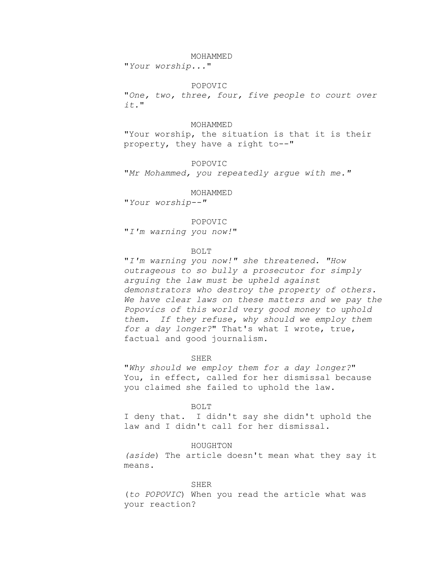#### MOHAMMED

"*Your worship...*"

### POPOVIC

"*One, two, three, four, five people to court over it.*"

### MOHAMMED

"Your worship, the situation is that it is their property, they have a right to--"

POPOVIC

"*Mr Mohammed, you repeatedly argue with me."*

### MOHAMMED

"*Your worship--"*

### POPOVIC

"*I'm warning you now!*"

#### BOLT

"*I'm warning you now!" she threatened. "How outrageous to so bully a prosecutor for simply arguing the law must be upheld against demonstrators who destroy the property of others. We have clear laws on these matters and we pay the Popovics of this world very good money to uphold them. If they refuse, why should we employ them for a day longer?*" That's what I wrote, true, factual and good journalism.

# SHER

"*Why should we employ them for a day longer?*" You, in effect, called for her dismissal because you claimed she failed to uphold the law.

#### BOLT

I deny that. I didn't say she didn't uphold the law and I didn't call for her dismissal.

### HOUGHTON

*(aside*) The article doesn't mean what they say it means.

#### SHER

(*to POPOVIC*) When you read the article what was your reaction?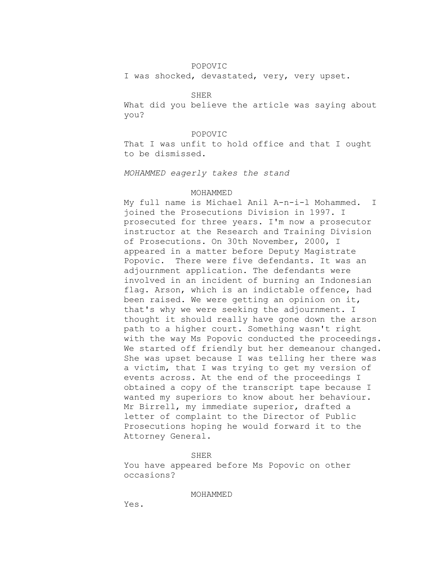# POPOVIC

I was shocked, devastated, very, very upset.

### **SHER**

What did you believe the article was saying about you?

# POPOVIC

That I was unfit to hold office and that I ought to be dismissed.

# *MOHAMMED eagerly takes the stand*

# MOHAMMED

My full name is Michael Anil A-n-i-l Mohammed. I joined the Prosecutions Division in 1997. I prosecuted for three years. I'm now a prosecutor instructor at the Research and Training Division of Prosecutions. On 30th November, 2000, I appeared in a matter before Deputy Magistrate Popovic. There were five defendants. It was an adjournment application. The defendants were involved in an incident of burning an Indonesian flag. Arson, which is an indictable offence, had been raised. We were getting an opinion on it, that's why we were seeking the adjournment. I thought it should really have gone down the arson path to a higher court. Something wasn't right with the way Ms Popovic conducted the proceedings. We started off friendly but her demeanour changed. She was upset because I was telling her there was a victim, that I was trying to get my version of events across. At the end of the proceedings I obtained a copy of the transcript tape because I wanted my superiors to know about her behaviour. Mr Birrell, my immediate superior, drafted a letter of complaint to the Director of Public Prosecutions hoping he would forward it to the Attorney General.

### SHER

You have appeared before Ms Popovic on other occasions?

# MOHAMMED

Yes.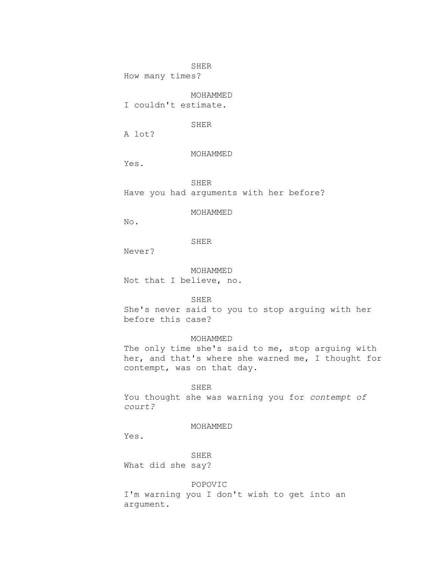SHER

How many times?

MOHAMMED

I couldn't estimate.

SHER

A lot?

MOHAMMED

Yes.

SHER

Have you had arguments with her before?

MOHAMMED

No.

SHER

Never?

MOHAMMED Not that I believe, no.

SHER

She's never said to you to stop arguing with her before this case?

# MOHAMMED

The only time she's said to me, stop arguing with her, and that's where she warned me, I thought for contempt, was on that day.

# SHER

You thought she was warning you for *contempt of court?*

# MOHAMMED

Yes.

SHER What did she say?

# POPOVIC

I'm warning you I don't wish to get into an argument.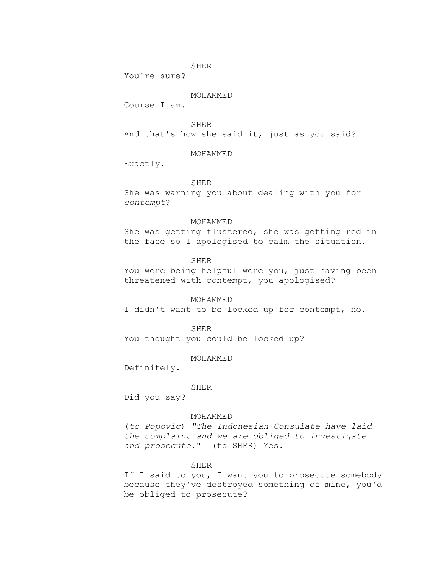SHER

You're sure?

# MOHAMMED

Course I am.

SHER

And that's how she said it, just as you said?

# MOHAMMED

Exactly.

# SHER

She was warning you about dealing with you for *contempt*?

### MOHAMMED

She was getting flustered, she was getting red in the face so I apologised to calm the situation.

# SHER

You were being helpful were you, just having been threatened with contempt, you apologised?

# MOHAMMED

I didn't want to be locked up for contempt, no.

#### SHER

You thought you could be locked up?

### MOHAMMED

Definitely.

#### SHER

Did you say?

# MOHAMMED

(*to Popovic*) *"The Indonesian Consulate have laid the complaint and we are obliged to investigate and prosecute*." (to SHER) Yes.

# SHER

If I said to you, I want you to prosecute somebody because they've destroyed something of mine, you'd be obliged to prosecute?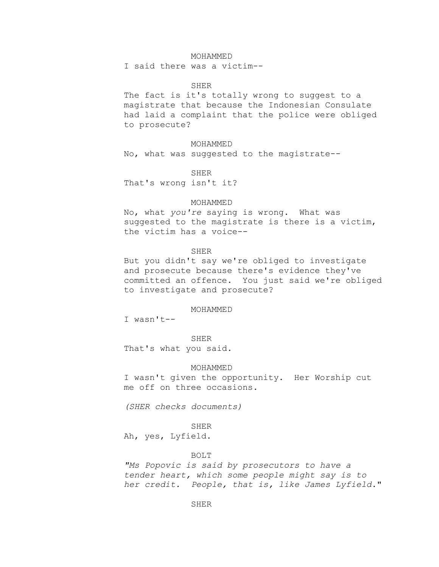### MOHAMMED

I said there was a victim--

### SHER

The fact is it's totally wrong to suggest to a magistrate that because the Indonesian Consulate had laid a complaint that the police were obliged to prosecute?

MOHAMMED

No, what was suggested to the magistrate--

SHER

That's wrong isn't it?

### MOHAMMED

No, what *you're* saying is wrong. What was suggested to the magistrate is there is a victim, the victim has a voice--

# SHER

But you didn't say we're obliged to investigate and prosecute because there's evidence they've committed an offence. You just said we're obliged to investigate and prosecute?

#### MOHAMMED

I wasn't--

SHER

That's what you said.

### MOHAMMED

I wasn't given the opportunity. Her Worship cut me off on three occasions.

*(SHER checks documents)*

# SHER

Ah, yes, Lyfield.

### BOLT

*"Ms Popovic is said by prosecutors to have a tender heart, which some people might say is to her credit. People, that is, like James Lyfield*."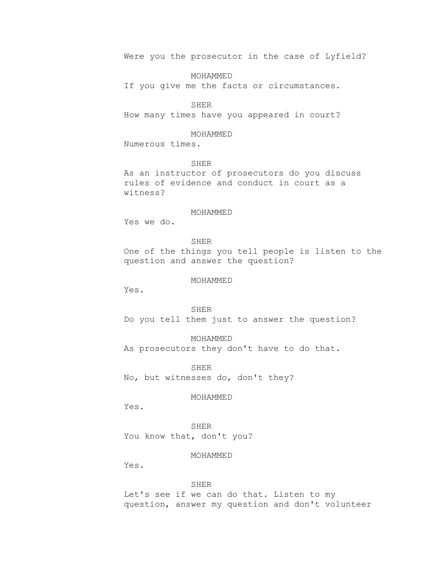Were you the prosecutor in the case of Lyfield?

MOHAMMED

If you give me the facts or circumstances.

### SHER

How many times have you appeared in court?

# MOHAMMED

Numerous times.

# SHER

As an instructor of prosecutors do you discuss rules of evidence and conduct in court as a witness?

# MOHAMMED

Yes we do.

SHER One of the things you tell people is listen to the question and answer the question?

# MOHAMMED

Yes.

SHER Do you tell them just to answer the question?

MOHAMMED As prosecutors they don't have to do that.

SHER No, but witnesses do, don't they?

# MOHAMMED

Yes.

SHER You know that, don't you?

MOHAMMED

Yes.

# SHER

Let's see if we can do that. Listen to my question, answer my question and don't volunteer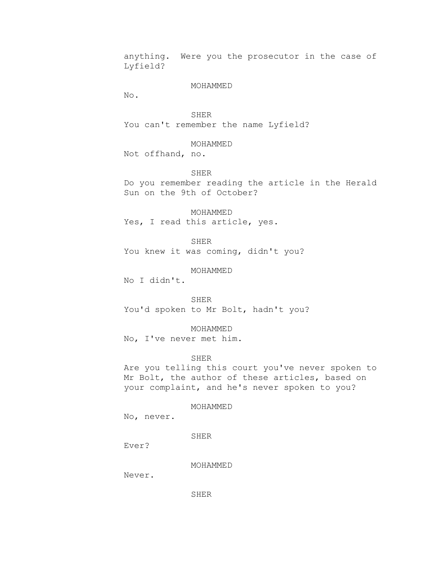anything. Were you the prosecutor in the case of Lyfield?

### MOHAMMED

No.

SHER You can't remember the name Lyfield?

# MOHAMMED

Not offhand, no.

SHER

Do you remember reading the article in the Herald Sun on the 9th of October?

MOHAMMED Yes, I read this article, yes.

SHER You knew it was coming, didn't you?

MOHAMMED

No I didn't.

SHER You'd spoken to Mr Bolt, hadn't you?

MOHAMMED

No, I've never met him.

# SHER

Are you telling this court you've never spoken to Mr Bolt, the author of these articles, based on your complaint, and he's never spoken to you?

### MOHAMMED

No, never.

SHER

Ever?

MOHAMMED

Never.

SHER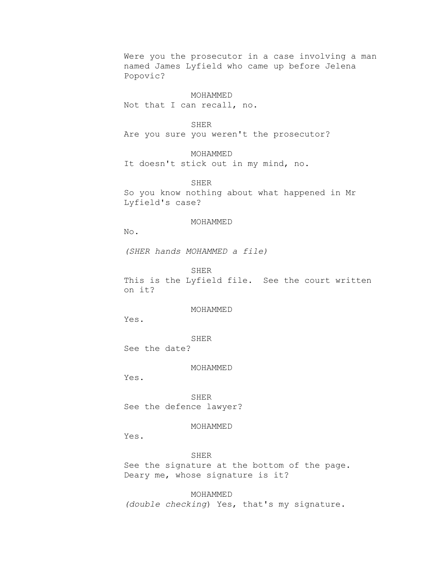Were you the prosecutor in a case involving a man named James Lyfield who came up before Jelena Popovic?

# MOHAMMED

Not that I can recall, no.

### SHER

Are you sure you weren't the prosecutor?

MOHAMMED

It doesn't stick out in my mind, no.

SHER So you know nothing about what happened in Mr Lyfield's case?

# MOHAMMED

No.

*(SHER hands MOHAMMED a file)*

SHER

This is the Lyfield file. See the court written on it?

MOHAMMED

Yes.

SHER

See the date?

MOHAMMED

Yes.

SHER See the defence lawyer?

# MOHAMMED

Yes.

SHER See the signature at the bottom of the page. Deary me, whose signature is it?

MOHAMMED *(double checking*) Yes, that's my signature.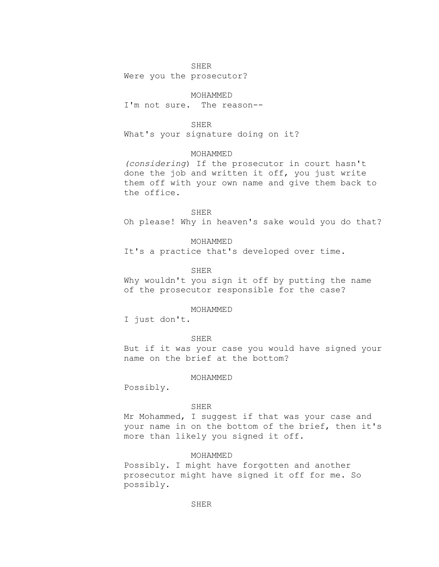# SHER

Were you the prosecutor?

# MOHAMMED

I'm not sure. The reason--

# SHER

What's your signature doing on it?

# MOHAMMED

*(considering*) If the prosecutor in court hasn't done the job and written it off, you just write them off with your own name and give them back to the office.

### SHER

Oh please! Why in heaven's sake would you do that?

# MOHAMMED

It's a practice that's developed over time.

# SHER

Why wouldn't you sign it off by putting the name of the prosecutor responsible for the case?

### MOHAMMED

I just don't.

# SHER

But if it was your case you would have signed your name on the brief at the bottom?

# MOHAMMED

Possibly.

# SHER

Mr Mohammed, I suggest if that was your case and your name in on the bottom of the brief, then it's more than likely you signed it off.

# MOHAMMED

Possibly. I might have forgotten and another prosecutor might have signed it off for me. So possibly.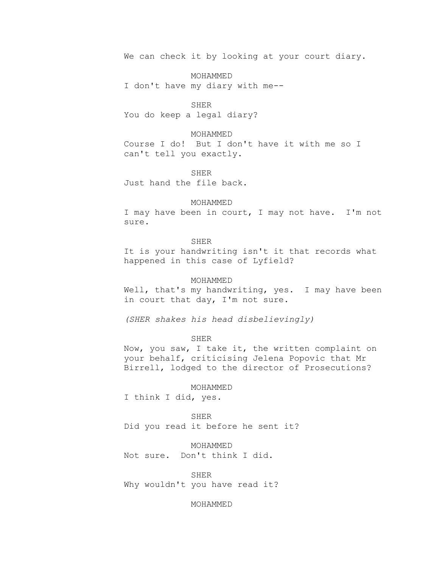We can check it by looking at your court diary.

MOHAMMED I don't have my diary with me--

SHER You do keep a legal diary?

### MOHAMMED

Course I do! But I don't have it with me so I can't tell you exactly.

SHER Just hand the file back.

# MOHAMMED

I may have been in court, I may not have. I'm not sure.

# SHER

It is your handwriting isn't it that records what happened in this case of Lyfield?

# MOHAMMED

Well, that's my handwriting, yes. I may have been in court that day, I'm not sure.

*(SHER shakes his head disbelievingly)*

SHER

Now, you saw, I take it, the written complaint on your behalf, criticising Jelena Popovic that Mr Birrell, lodged to the director of Prosecutions?

MOHAMMED

I think I did, yes.

SHER Did you read it before he sent it?

MOHAMMED Not sure. Don't think I did.

SHER Why wouldn't you have read it?

# MOHAMMED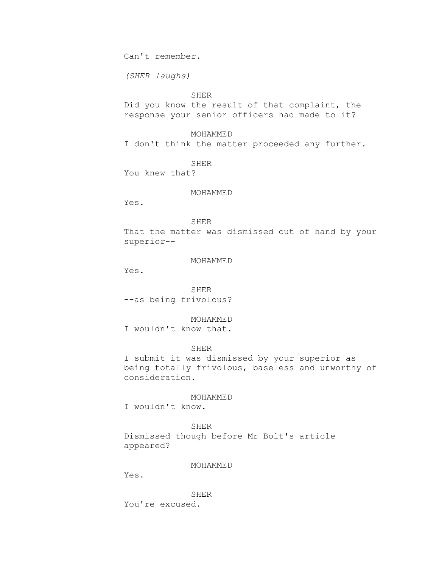Can't remember.

*(SHER laughs)*

# SHER

Did you know the result of that complaint, the response your senior officers had made to it?

MOHAMMED

I don't think the matter proceeded any further.

SHER

You knew that?

# MOHAMMED

Yes.

# SHER

That the matter was dismissed out of hand by your superior--

# MOHAMMED

Yes.

SHER --as being frivolous?

MOHAMMED

I wouldn't know that.

# SHER

I submit it was dismissed by your superior as being totally frivolous, baseless and unworthy of consideration.

### MOHAMMED

I wouldn't know.

SHER Dismissed though before Mr Bolt's article appeared?

# MOHAMMED

Yes.

SHER

You're excused.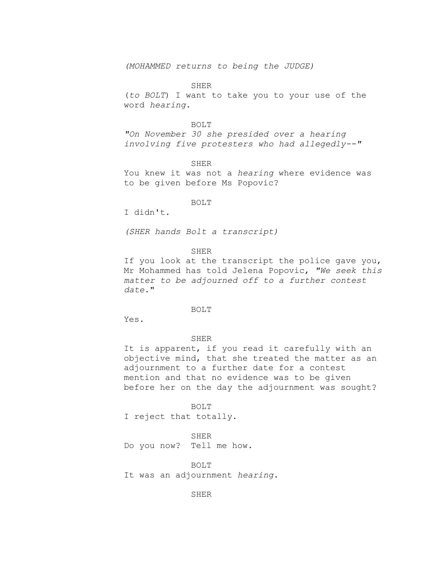*(MOHAMMED returns to being the JUDGE)*

#### SHER

(*to BOLT*) I want to take you to your use of the word *hearing*.

#### BOLT

*"On November 30 she presided over a hearing involving five protesters who had allegedly--"*

SHER

You knew it was not a *hearing* where evidence was to be given before Ms Popovic?

# BOLT

I didn't.

*(SHER hands Bolt a transcript)*

SHER

If you look at the transcript the police gave you, Mr Mohammed has told Jelena Popovic, *"We seek this matter to be adjourned off to a further contest date*."

### BOLT

Yes.

### SHER

It is apparent, if you read it carefully with an objective mind, that she treated the matter as an adjournment to a further date for a contest mention and that no evidence was to be given before her on the day the adjournment was sought?

BOLT I reject that totally.

SHER Do you now? Tell me how.

BOLT It was an adjournment *hearing*.

SHER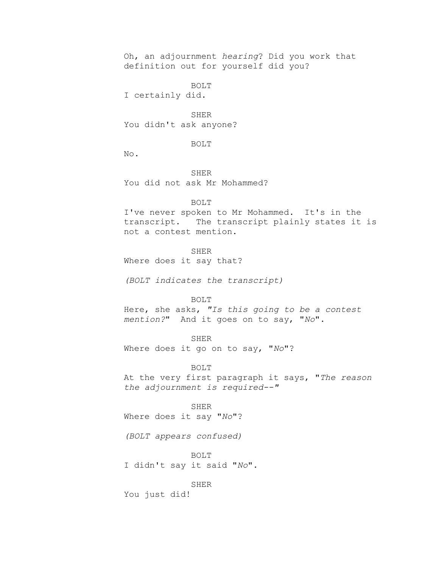Oh, an adjournment *hearing*? Did you work that definition out for yourself did you?

BOLT I certainly did.

SHER You didn't ask anyone?

# BOLT

No.

SHER You did not ask Mr Mohammed?

#### BOLT

I've never spoken to Mr Mohammed. It's in the transcript. The transcript plainly states it is not a contest mention.

SHER

Where does it say that?

*(BOLT indicates the transcript)*

### BOLT

Here, she asks, *"Is this going to be a contest mention?*" And it goes on to say, "*No*".

# SHER

Where does it go on to say, "*No*"?

BOLT

At the very first paragraph it says, "*The reason the adjournment is required--"*

SHER Where does it say "*No*"?

*(BOLT appears confused)*

BOLT I didn't say it said "*No*".

SHER

You just did!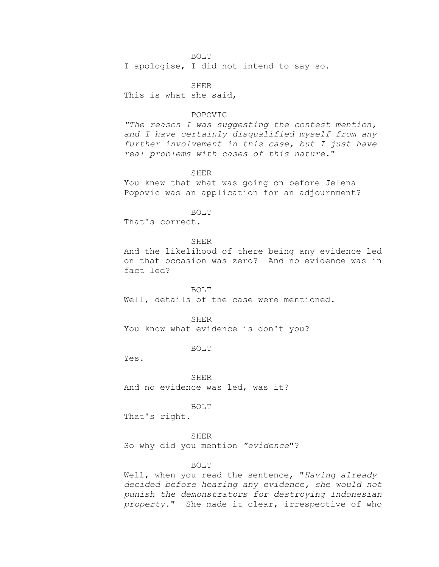### BOLT

I apologise, I did not intend to say so.

SHER This is what she said,

# POPOVIC

*"The reason I was suggesting the contest mention, and I have certainly disqualified myself from any further involvement in this case, but I just have real problems with cases of this nature*."

SHER

You knew that what was going on before Jelena Popovic was an application for an adjournment?

BOLT

That's correct.

SHER

And the likelihood of there being any evidence led on that occasion was zero? And no evidence was in fact led?

### BOLT

Well, details of the case were mentioned.

SHER

You know what evidence is don't you?

BOLT

Yes.

SHER And no evidence was led, was it?

BOLT

That's right.

SHER

So why did you mention *"evidence*"?

BOLT

Well, when you read the sentence, "*Having already decided before hearing any evidence, she would not punish the demonstrators for destroying Indonesian property.*" She made it clear, irrespective of who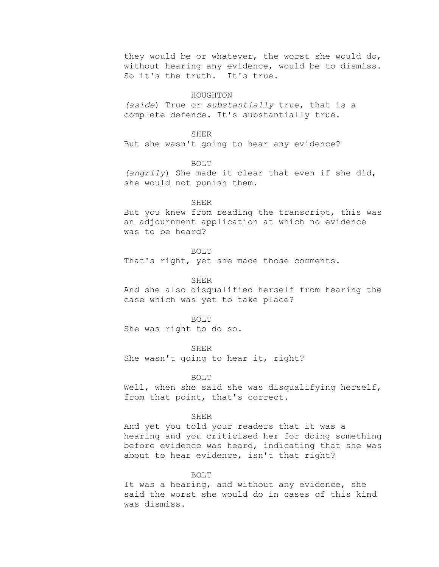they would be or whatever, the worst she would do, without hearing any evidence, would be to dismiss. So it's the truth. It's true.

### HOUGHTON

*(aside*) True or *substantially* true, that is a complete defence. It's substantially true.

# SHER

But she wasn't going to hear any evidence?

BOLT

*(angrily*) She made it clear that even if she did, she would not punish them.

#### SHER

But you knew from reading the transcript, this was an adjournment application at which no evidence was to be heard?

### BOLT

That's right, yet she made those comments.

### SHER

And she also disqualified herself from hearing the case which was yet to take place?

#### BOLT

She was right to do so.

SHER

She wasn't going to hear it, right?

### BOLT

Well, when she said she was disqualifying herself, from that point, that's correct.

### SHER

And yet you told your readers that it was a hearing and you criticised her for doing something before evidence was heard, indicating that she was about to hear evidence, isn't that right?

#### BOLT

It was a hearing, and without any evidence, she said the worst she would do in cases of this kind was dismiss.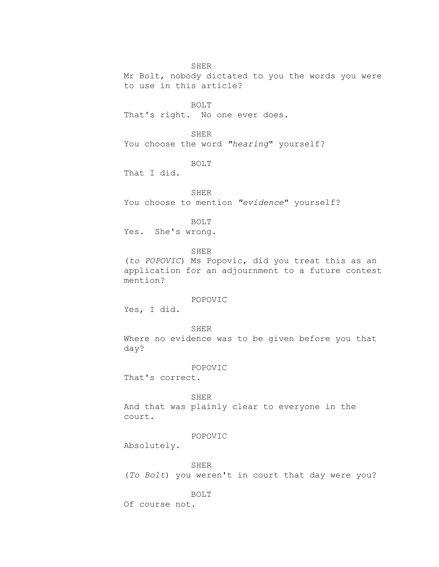SHER

Mr Bolt, nobody dictated to you the words you were to use in this article?

BOLT

That's right. No one ever does.

SHER

You choose the word *"hearing*" yourself?

BOLT

That I did.

SHER

You choose to mention *"evidence*" yourself?

BOLT

Yes. She's wrong.

SHER

(*to POPOVIC*) Ms Popovic, did you treat this as an application for an adjournment to a future contest mention?

# POPOVIC

Yes, I did.

SHER Where no evidence was to be given before you that day?

#### POPOVIC

That's correct.

SHER

And that was plainly clear to everyone in the court.

### POPOVIC

Absolutely.

SHER

(*To Bolt*) you weren't in court that day were you?

BOLT

Of course not.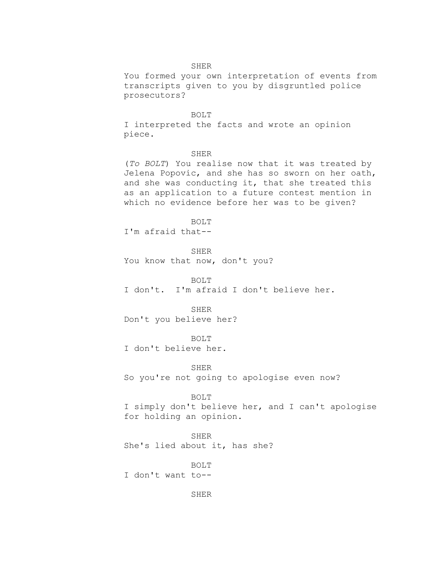# SHER

You formed your own interpretation of events from transcripts given to you by disgruntled police prosecutors?

#### BOLT

I interpreted the facts and wrote an opinion piece.

### SHER

(*To BOLT*) You realise now that it was treated by Jelena Popovic, and she has so sworn on her oath, and she was conducting it, that she treated this as an application to a future contest mention in which no evidence before her was to be given?

BOLT

I'm afraid that--

SHER You know that now, don't you?

BOLT I don't. I'm afraid I don't believe her.

SHER Don't you believe her?

BOLT

I don't believe her.

SHER So you're not going to apologise even now?

# BOLT

I simply don't believe her, and I can't apologise for holding an opinion.

SHER She's lied about it, has she?

BOLT

I don't want to--

SHER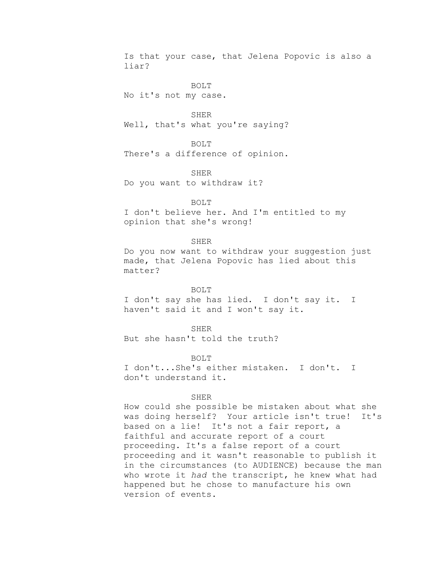Is that your case, that Jelena Popovic is also a liar?

BOLT No it's not my case.

SHER Well, that's what you're saying?

BOLT There's a difference of opinion.

SHER Do you want to withdraw it?

BOLT I don't believe her. And I'm entitled to my opinion that she's wrong!

SHER Do you now want to withdraw your suggestion just made, that Jelena Popovic has lied about this matter?

BOLT I don't say she has lied. I don't say it. I haven't said it and I won't say it.

SHER But she hasn't told the truth?

BOLT I don't...She's either mistaken. I don't. I don't understand it.

# SHER

How could she possible be mistaken about what she was doing herself? Your article isn't true! It's based on a lie! It's not a fair report, a faithful and accurate report of a court proceeding. It's a false report of a court proceeding and it wasn't reasonable to publish it in the circumstances (to AUDIENCE) because the man who wrote it *had* the transcript, he knew what had happened but he chose to manufacture his own version of events.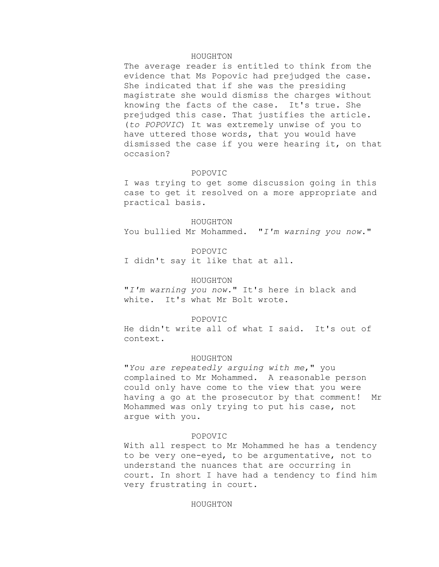### HOUGHTON

The average reader is entitled to think from the evidence that Ms Popovic had prejudged the case. She indicated that if she was the presiding magistrate she would dismiss the charges without knowing the facts of the case. It's true. She prejudged this case. That justifies the article. (*to POPOVIC*) It was extremely unwise of you to have uttered those words, that you would have dismissed the case if you were hearing it, on that occasion?

# POPOVIC

I was trying to get some discussion going in this case to get it resolved on a more appropriate and practical basis.

### HOUGHTON

You bullied Mr Mohammed. "*I'm warning you now*."

POPOVIC I didn't say it like that at all.

### HOUGHTON

"*I'm warning you now.*" It's here in black and white. It's what Mr Bolt wrote.

# POPOVIC

He didn't write all of what I said. It's out of context.

# HOUGHTON

"*You are repeatedly arguing with me*," you complained to Mr Mohammed. A reasonable person could only have come to the view that you were having a go at the prosecutor by that comment! Mr Mohammed was only trying to put his case, not argue with you.

### POPOVIC

With all respect to Mr Mohammed he has a tendency to be very one-eyed, to be argumentative, not to understand the nuances that are occurring in court. In short I have had a tendency to find him very frustrating in court.

# HOUGHTON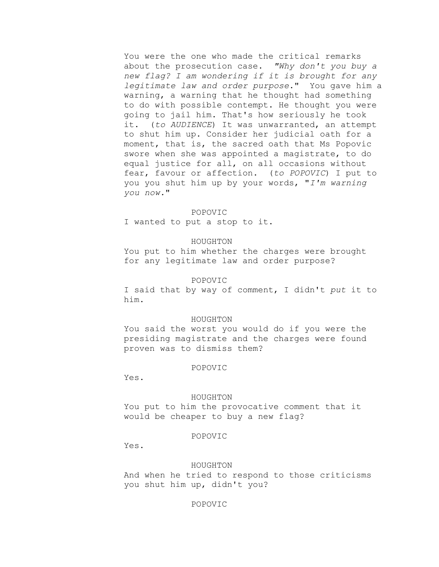You were the one who made the critical remarks about the prosecution case. *"Why don't you buy a new flag? I am wondering if it is brought for any legitimate law and order purpose*." You gave him a warning, a warning that he thought had something to do with possible contempt. He thought you were going to jail him. That's how seriously he took it. (*to AUDIENCE*) It was unwarranted, an attempt to shut him up. Consider her judicial oath for a moment, that is, the sacred oath that Ms Popovic swore when she was appointed a magistrate, to do equal justice for all, on all occasions without fear, favour or affection. (*to POPOVIC*) I put to you you shut him up by your words, "*I'm warning you now.*"

#### POPOVIC

I wanted to put a stop to it.

# HOUGHTON

You put to him whether the charges were brought for any legitimate law and order purpose?

# POPOVIC

I said that by way of comment, I didn't *put* it to him.

### HOUGHTON

You said the worst you would do if you were the presiding magistrate and the charges were found proven was to dismiss them?

### POPOVIC

Yes.

### HOUGHTON

You put to him the provocative comment that it would be cheaper to buy a new flag?

# POPOVIC

Yes.

# HOUGHTON

And when he tried to respond to those criticisms you shut him up, didn't you?

# POPOVIC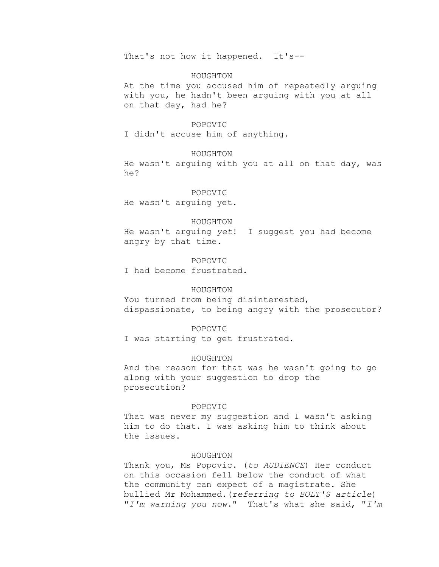That's not how it happened. It's--

### HOUGHTON

At the time you accused him of repeatedly arguing with you, he hadn't been arguing with you at all on that day, had he?

#### POPOVIC

I didn't accuse him of anything.

# HOUGHTON

He wasn't arguing with you at all on that day, was he?

# POPOVIC

He wasn't arguing yet.

#### HOUGHTON

He wasn't arguing *yet*! I suggest you had become angry by that time.

# POPOVIC

I had become frustrated.

# HOUGHTON

You turned from being disinterested, dispassionate, to being angry with the prosecutor?

### POPOVIC

I was starting to get frustrated.

# HOUGHTON

And the reason for that was he wasn't going to go along with your suggestion to drop the prosecution?

# POPOVIC

That was never my suggestion and I wasn't asking him to do that. I was asking him to think about the issues.

# HOUGHTON

Thank you, Ms Popovic. (*to AUDIENCE*) Her conduct on this occasion fell below the conduct of what the community can expect of a magistrate. She bullied Mr Mohammed.(r*eferring to BOLT'S article*) "*I'm warning you now*." That's what she said, "*I'm*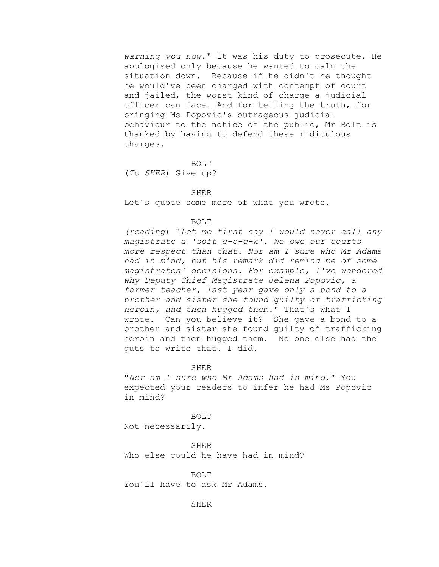*warning you now*." It was his duty to prosecute. He apologised only because he wanted to calm the situation down. Because if he didn't he thought he would've been charged with contempt of court and jailed, the worst kind of charge a judicial officer can face. And for telling the truth, for bringing Ms Popovic's outrageous judicial behaviour to the notice of the public, Mr Bolt is thanked by having to defend these ridiculous charges.

BOLT

(*To SHER*) Give up?

SHER

Let's quote some more of what you wrote.

BOLT

*(reading*) "*Let me first say I would never call any magistrate a 'soft c-o-c-k'. We owe our courts more respect than that. Nor am I sure who Mr Adams had in mind, but his remark did remind me of some magistrates' decisions. For example, I've wondered why Deputy Chief Magistrate Jelena Popovic, a former teacher, last year gave only a bond to a brother and sister she found guilty of trafficking heroin, and then hugged them.*" That's what I wrote. Can you believe it? She gave a bond to a brother and sister she found guilty of trafficking heroin and then hugged them. No one else had the guts to write that. I did.

SHER

"*Nor am I sure who Mr Adams had in mind.*" You expected your readers to infer he had Ms Popovic in mind?

BOLT Not necessarily.

SHER Who else could he have had in mind?

BOLT You'll have to ask Mr Adams.

SHER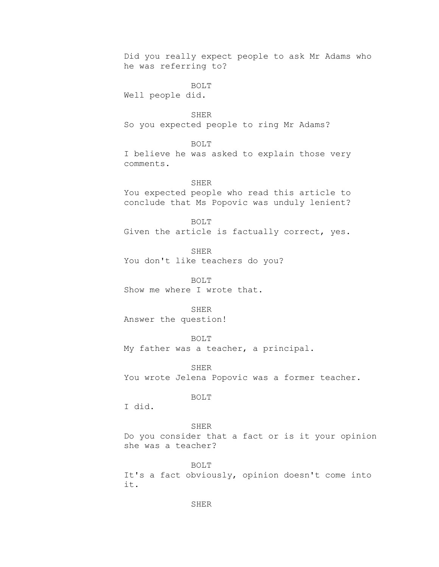Did you really expect people to ask Mr Adams who he was referring to?

BOLT Well people did.

SHER So you expected people to ring Mr Adams?

BOLT

I believe he was asked to explain those very comments.

SHER

You expected people who read this article to conclude that Ms Popovic was unduly lenient?

BOLT

Given the article is factually correct, yes.

SHER You don't like teachers do you?

BOLT Show me where I wrote that.

SHER Answer the question!

BOLT

My father was a teacher, a principal.

SHER You wrote Jelena Popovic was a former teacher.

BOLT

I did.

# SHER

Do you consider that a fact or is it your opinion she was a teacher?

BOLT It's a fact obviously, opinion doesn't come into it.

SHER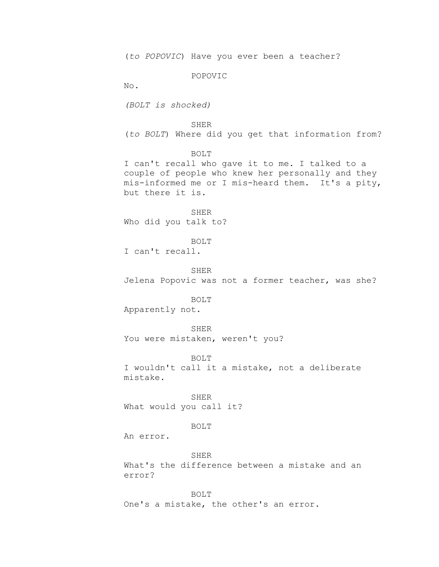(*to POPOVIC*) Have you ever been a teacher?

POPOVIC

No.

*(BOLT is shocked)*

### SHER

(*to BOLT*) Where did you get that information from?

BOLT

I can't recall who gave it to me. I talked to a couple of people who knew her personally and they mis-informed me or I mis-heard them. It's a pity, but there it is.

SHER Who did you talk to?

BOLT I can't recall.

SHER

Jelena Popovic was not a former teacher, was she?

### BOLT

Apparently not.

SHER You were mistaken, weren't you?

BOLT

I wouldn't call it a mistake, not a deliberate mistake.

SHER What would you call it?

# BOLT

An error.

SHER What's the difference between a mistake and an error?

BOLT One's a mistake, the other's an error.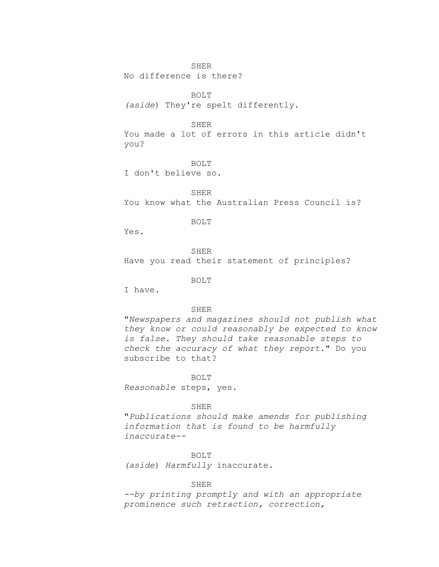No difference is there?

BOLT

*(aside*) They're spelt differently.

### SHER

You made a lot of errors in this article didn't you?

BOLT

I don't believe so.

SHER You know what the Australian Press Council is?

BOLT

Yes.

SHER Have you read their statement of principles?

BOLT

I have.

## SHER

"*Newspapers and magazines should not publish what they know or could reasonably be expected to know is false. They should take reasonable steps to check the accuracy of what they report*." Do you subscribe to that?

### BOLT

*Reasonable* steps, yes.

# SHER

"*Publications should make amends for publishing information that is found to be harmfully inaccurate--*

### BOLT

*(aside*) *Harmfully* inaccurate.

# SHER

*--by printing promptly and with an appropriate prominence such retraction, correction,*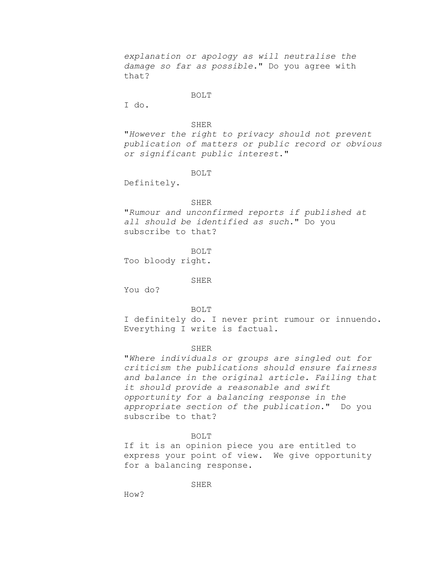*explanation or apology as will neutralise the damage so far as possible*." Do you agree with that?

# BOLT

I do.

### SHER

"*However the right to privacy should not prevent publication of matters or public record or obvious or significant public interest*."

### BOLT

Definitely.

## SHER

"*Rumour and unconfirmed reports if published at all should be identified as such*." Do you subscribe to that?

BOLT

Too bloody right.

### SHER

You do?

BOLT

I definitely do. I never print rumour or innuendo. Everything I write is factual.

# SHER

"*Where individuals or groups are singled out for criticism the publications should ensure fairness and balance in the original article. Failing that it should provide a reasonable and swift opportunity for a balancing response in the appropriate section of the publication*." Do you subscribe to that?

# BOLT

If it is an opinion piece you are entitled to express your point of view. We give opportunity for a balancing response.

**SHER** 

How?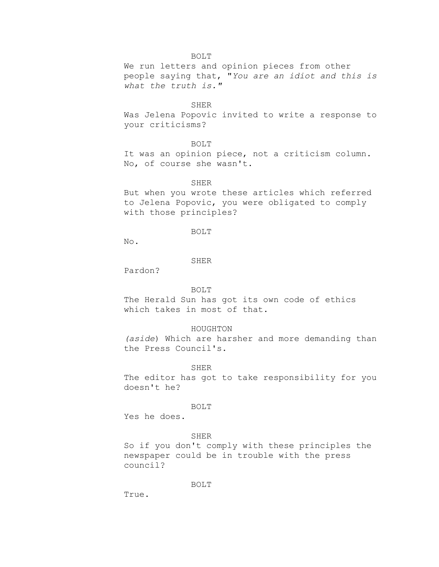# BOLT

We run letters and opinion pieces from other people saying that, "*You are an idiot and this is what the truth is."*

### SHER

Was Jelena Popovic invited to write a response to your criticisms?

# BOLT

It was an opinion piece, not a criticism column. No, of course she wasn't.

### SHER

But when you wrote these articles which referred to Jelena Popovic, you were obligated to comply with those principles?

# BOLT

No.

### SHER

Pardon?

# BOLT

The Herald Sun has got its own code of ethics which takes in most of that.

### HOUGHTON

*(aside*) Which are harsher and more demanding than the Press Council's.

#### SHER

The editor has got to take responsibility for you doesn't he?

BOLT

Yes he does.

### SHER

So if you don't comply with these principles the newspaper could be in trouble with the press council?

BOLT

True.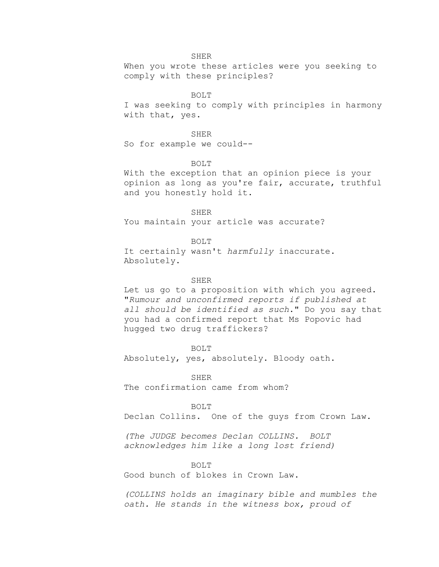When you wrote these articles were you seeking to comply with these principles?

# BOLT

I was seeking to comply with principles in harmony with that, yes.

### SHER

So for example we could--

## BOLT

With the exception that an opinion piece is your opinion as long as you're fair, accurate, truthful and you honestly hold it.

SHER You maintain your article was accurate?

# BOLT

It certainly wasn't *harmfully* inaccurate. Absolutely.

### SHER

Let us go to a proposition with which you agreed. "*Rumour and unconfirmed reports if published at all should be identified as such*." Do you say that you had a confirmed report that Ms Popovic had hugged two drug traffickers?

### BOLT

Absolutely, yes, absolutely. Bloody oath.

SHER The confirmation came from whom?

## BOLT

Declan Collins. One of the guys from Crown Law.

*(The JUDGE becomes Declan COLLINS. BOLT acknowledges him like a long lost friend)*

# BOLT

Good bunch of blokes in Crown Law.

*(COLLINS holds an imaginary bible and mumbles the oath. He stands in the witness box, proud of*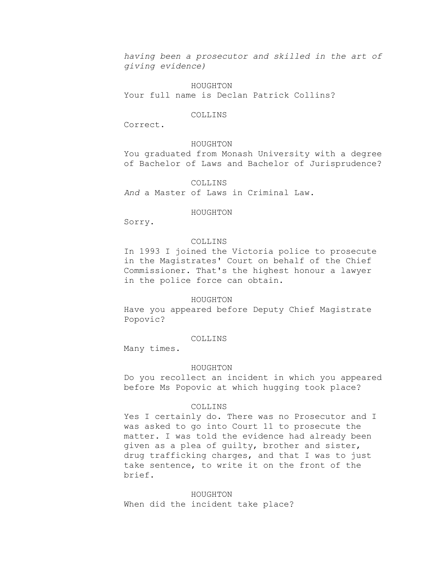*having been a prosecutor and skilled in the art of giving evidence)*

HOUGHTON Your full name is Declan Patrick Collins?

# COLLINS

Correct.

# HOUGHTON

You graduated from Monash University with a degree of Bachelor of Laws and Bachelor of Jurisprudence?

### COLLINS

*And* a Master of Laws in Criminal Law.

# HOUGHTON

Sorry.

# COLLINS

In 1993 I joined the Victoria police to prosecute in the Magistrates' Court on behalf of the Chief Commissioner. That's the highest honour a lawyer in the police force can obtain.

### HOUGHTON

Have you appeared before Deputy Chief Magistrate Popovic?

# COLLINS

Many times.

### HOUGHTON

Do you recollect an incident in which you appeared before Ms Popovic at which hugging took place?

## COLLINS

Yes I certainly do. There was no Prosecutor and I was asked to go into Court 11 to prosecute the matter. I was told the evidence had already been given as a plea of guilty, brother and sister, drug trafficking charges, and that I was to just take sentence, to write it on the front of the brief.

HOUGHTON When did the incident take place?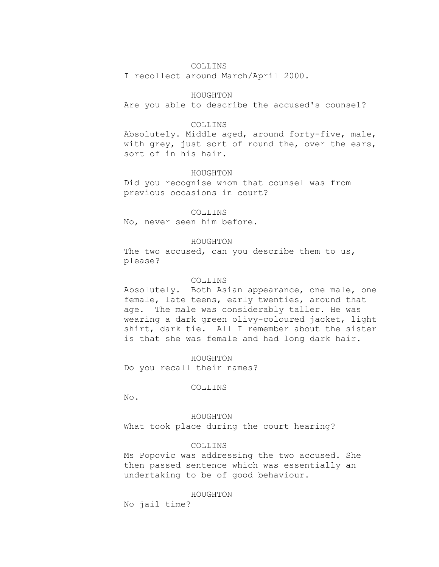# COLLINS

I recollect around March/April 2000.

# HOUGHTON

Are you able to describe the accused's counsel?

# COLLINS

Absolutely. Middle aged, around forty-five, male, with grey, just sort of round the, over the ears, sort of in his hair.

# HOUGHTON

Did you recognise whom that counsel was from previous occasions in court?

### COLLINS

No, never seen him before.

### HOUGHTON

The two accused, can you describe them to us, please?

# COLLINS

Absolutely. Both Asian appearance, one male, one female, late teens, early twenties, around that age. The male was considerably taller. He was wearing a dark green olivy-coloured jacket, light shirt, dark tie. All I remember about the sister is that she was female and had long dark hair.

HOUGHTON Do you recall their names?

#### COLLINS

No.

HOUGHTON What took place during the court hearing?

# COLLINS

Ms Popovic was addressing the two accused. She then passed sentence which was essentially an undertaking to be of good behaviour.

HOUGHTON

No jail time?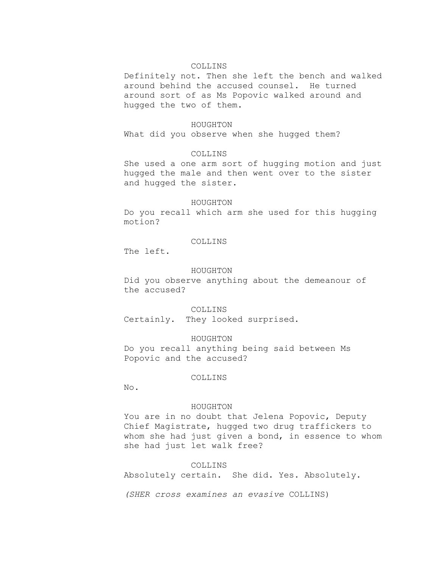# COLLINS

Definitely not. Then she left the bench and walked around behind the accused counsel. He turned around sort of as Ms Popovic walked around and hugged the two of them.

#### HOUGHTON

What did you observe when she hugged them?

# COLLINS

She used a one arm sort of hugging motion and just hugged the male and then went over to the sister and hugged the sister.

### HOUGHTON

Do you recall which arm she used for this hugging motion?

# COLLINS

The left.

### HOUGHTON

Did you observe anything about the demeanour of the accused?

COLLINS

Certainly. They looked surprised.

# HOUGHTON

Do you recall anything being said between Ms Popovic and the accused?

# COLLINS

No.

# HOUGHTON

You are in no doubt that Jelena Popovic, Deputy Chief Magistrate, hugged two drug traffickers to whom she had just given a bond, in essence to whom she had just let walk free?

# COLLINS

Absolutely certain. She did. Yes. Absolutely.

*(SHER cross examines an evasive* COLLINS)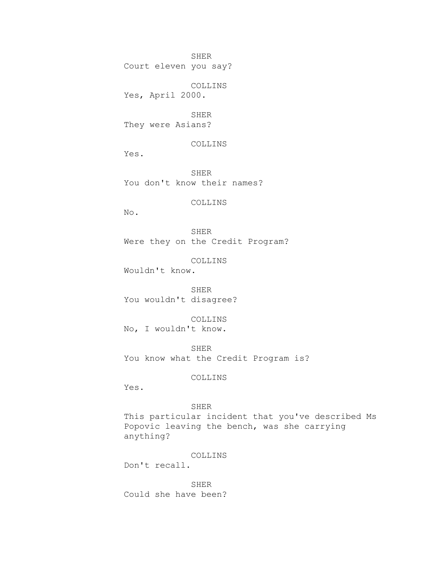Court eleven you say?

COLLINS Yes, April 2000.

SHER They were Asians?

COLLINS

Yes.

SHER You don't know their names?

COLLINS

No.

SHER Were they on the Credit Program?

COLLINS

Wouldn't know.

SHER You wouldn't disagree?

COLLINS No, I wouldn't know.

SHER You know what the Credit Program is?

COLLINS

Yes.

# SHER

This particular incident that you've described Ms Popovic leaving the bench, was she carrying anything?

COLLINS

Don't recall.

SHER Could she have been?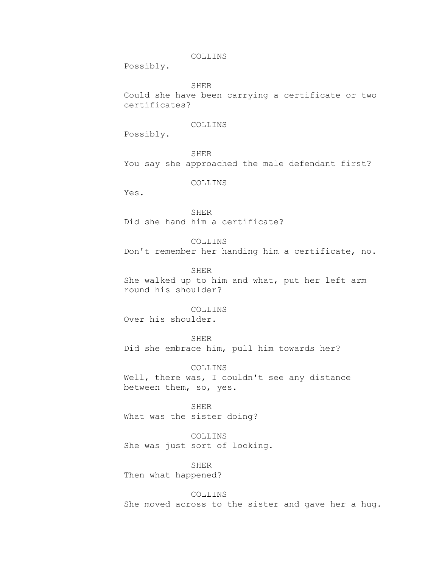# COLLINS

Possibly.

SHER

Could she have been carrying a certificate or two certificates?

# COLLINS

Possibly.

SHER You say she approached the male defendant first?

COLLINS

Yes.

SHER Did she hand him a certificate?

COLLINS Don't remember her handing him a certificate, no.

SHER

She walked up to him and what, put her left arm round his shoulder?

COLLINS Over his shoulder.

SHER

Did she embrace him, pull him towards her?

COLLINS Well, there was, I couldn't see any distance between them, so, yes.

SHER What was the sister doing?

COLLINS She was just sort of looking.

SHER Then what happened?

COLLINS

She moved across to the sister and gave her a hug.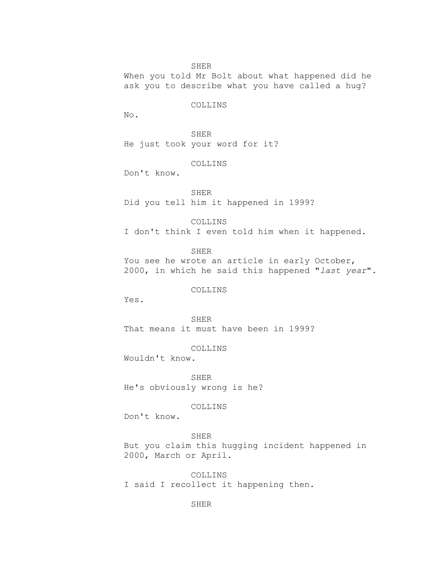When you told Mr Bolt about what happened did he ask you to describe what you have called a hug?

# COLLINS

No.

SHER He just took your word for it?

# COLLINS

Don't know.

SHER Did you tell him it happened in 1999?

COLLINS I don't think I even told him when it happened.

SHER

You see he wrote an article in early October, 2000, in which he said this happened "*last year*".

# COLLINS

Yes.

SHER That means it must have been in 1999?

COLLINS

Wouldn't know.

SHER He's obviously wrong is he?

COLLINS

Don't know.

SHER

But you claim this hugging incident happened in 2000, March or April.

COLLINS I said I recollect it happening then.

SHER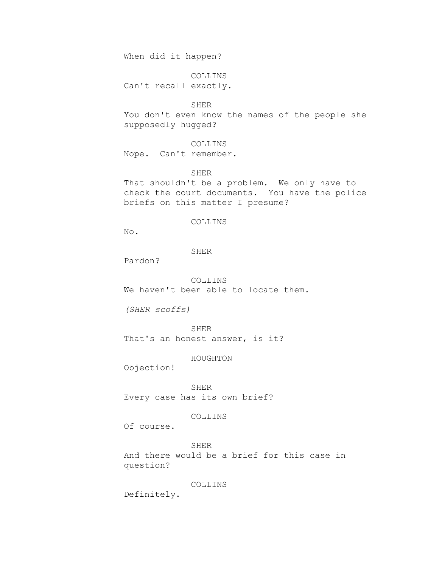When did it happen?

COLLINS Can't recall exactly.

SHER

You don't even know the names of the people she supposedly hugged?

COLLINS Nope. Can't remember.

SHER

That shouldn't be a problem. We only have to check the court documents. You have the police briefs on this matter I presume?

# COLLINS

No.

### SHER

Pardon?

COLLINS We haven't been able to locate them.

*(SHER scoffs)*

SHER That's an honest answer, is it?

HOUGHTON

Objection!

SHER Every case has its own brief?

# COLLINS

Of course.

SHER And there would be a brief for this case in question?

# COLLINS

Definitely.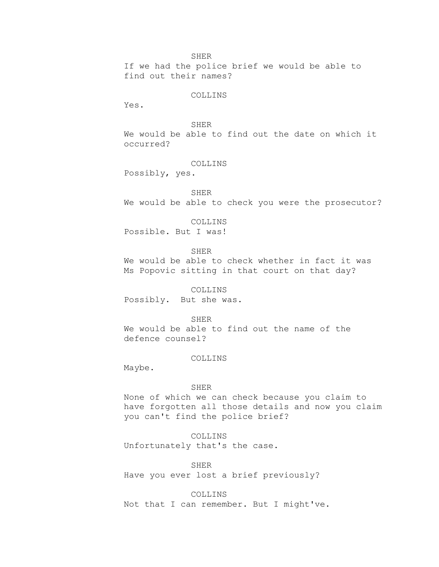If we had the police brief we would be able to find out their names?

# COLLINS

Yes.

# SHER

We would be able to find out the date on which it occurred?

# COLLINS

Possibly, yes.

# SHER

We would be able to check you were the prosecutor?

### COLLINS

Possible. But I was!

SHER

We would be able to check whether in fact it was Ms Popovic sitting in that court on that day?

COLLINS

Possibly. But she was.

## SHER

We would be able to find out the name of the defence counsel?

# COLLINS

Maybe.

### SHER

None of which we can check because you claim to have forgotten all those details and now you claim you can't find the police brief?

# COLLINS

Unfortunately that's the case.

SHER

Have you ever lost a brief previously?

### COLLINS

Not that I can remember. But I might've.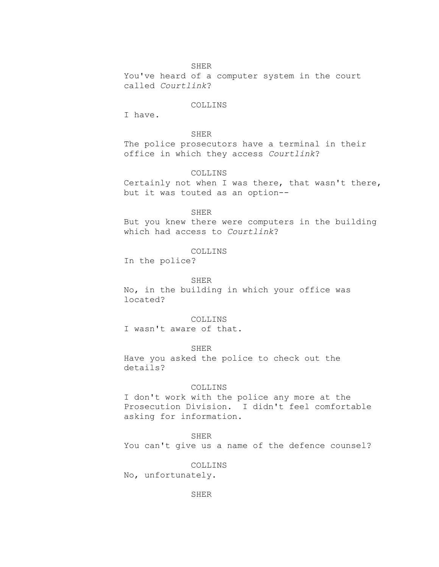You've heard of a computer system in the court called *Courtlink*?

# COLLINS

I have.

# SHER

The police prosecutors have a terminal in their office in which they access *Courtlink*?

# COLLINS

Certainly not when I was there, that wasn't there, but it was touted as an option--

### SHER

But you knew there were computers in the building which had access to *Courtlink*?

### COLLINS

In the police?

### SHER

No, in the building in which your office was located?

# COLLINS

I wasn't aware of that.

### SHER

Have you asked the police to check out the details?

### COLLINS

I don't work with the police any more at the Prosecution Division. I didn't feel comfortable asking for information.

# SHER

You can't give us a name of the defence counsel?

# COLLINS

No, unfortunately.

SHER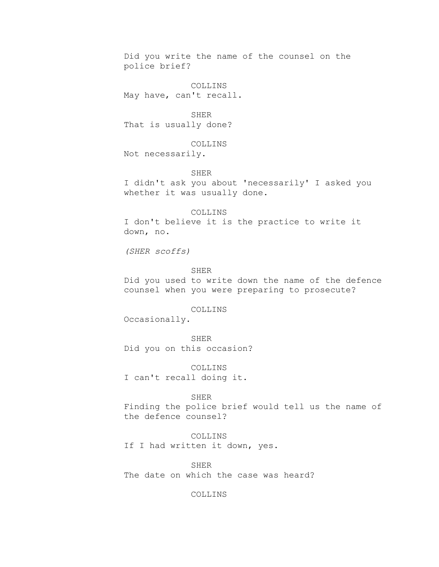Did you write the name of the counsel on the police brief?

COLLINS May have, can't recall.

SHER That is usually done?

COLLINS Not necessarily.

SHER

I didn't ask you about 'necessarily' I asked you whether it was usually done.

COLLINS I don't believe it is the practice to write it down, no.

*(SHER scoffs)*

SHER

Did you used to write down the name of the defence counsel when you were preparing to prosecute?

## COLLINS

Occasionally.

SHER

Did you on this occasion?

COLLINS I can't recall doing it.

SHER

Finding the police brief would tell us the name of the defence counsel?

COLLINS If I had written it down, yes.

SHER The date on which the case was heard?

COLLINS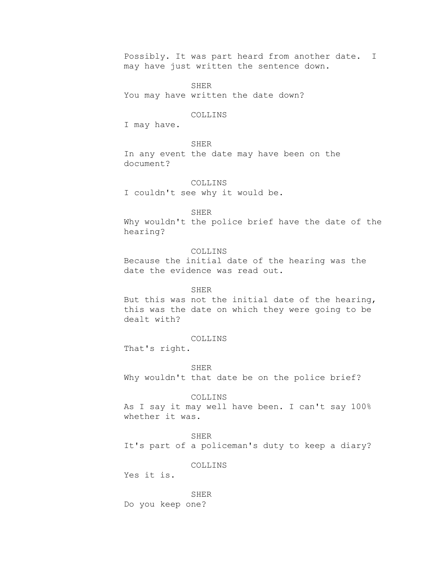Possibly. It was part heard from another date. I may have just written the sentence down.

SHER You may have written the date down?

# COLLINS

I may have.

**SHER** In any event the date may have been on the document?

COLLINS I couldn't see why it would be.

SHER

Why wouldn't the police brief have the date of the hearing?

COLLINS Because the initial date of the hearing was the date the evidence was read out.

### SHER

But this was not the initial date of the hearing, this was the date on which they were going to be dealt with?

# COLLINS

That's right.

SHER

Why wouldn't that date be on the police brief?

### COLLINS

As I say it may well have been. I can't say 100% whether it was.

SHER

It's part of a policeman's duty to keep a diary?

# COLLINS

Yes it is.

SHER Do you keep one?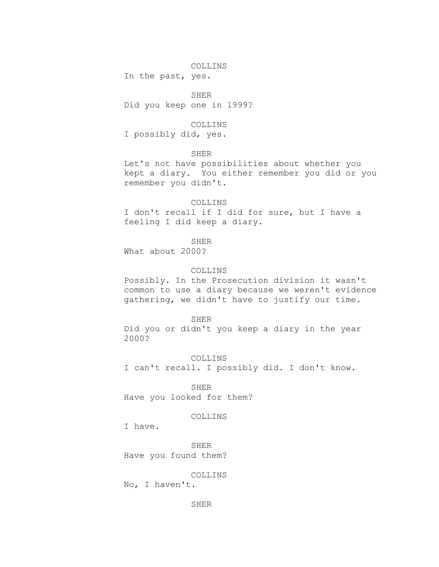# COLLINS

In the past, yes.

SHER Did you keep one in 1999?

# COLLINS

I possibly did, yes.

# **SHER**

Let's not have possibilities about whether you kept a diary. You either remember you did or you remember you didn't.

# COLLINS

I don't recall if I did for sure, but I have a feeling I did keep a diary.

SHER

What about 2000?

# COLLINS

Possibly. In the Prosecution division it wasn't common to use a diary because we weren't evidence gathering, we didn't have to justify our time.

## SHER

Did you or didn't you keep a diary in the year 2000?

COLLINS I can't recall. I possibly did. I don't know.

SHER Have you looked for them?

# COLLINS

I have.

SHER Have you found them?

# COLLINS

No, I haven't.

SHER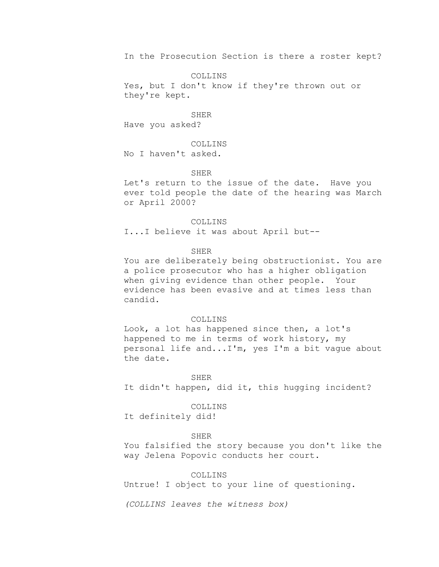In the Prosecution Section is there a roster kept?

COLLINS Yes, but I don't know if they're thrown out or they're kept.

SHER Have you asked?

**COLLINS** No I haven't asked.

# SHER

Let's return to the issue of the date. Have you ever told people the date of the hearing was March or April 2000?

COLLINS

I...I believe it was about April but--

### SHER

You are deliberately being obstructionist. You are a police prosecutor who has a higher obligation when giving evidence than other people. Your evidence has been evasive and at times less than candid.

### COLLINS

Look, a lot has happened since then, a lot's happened to me in terms of work history, my personal life and...I'm, yes I'm a bit vague about the date.

#### SHER

It didn't happen, did it, this hugging incident?

## COLLINS

It definitely did!

### SHER

You falsified the story because you don't like the way Jelena Popovic conducts her court.

# COLLINS

Untrue! I object to your line of questioning.

*(COLLINS leaves the witness box)*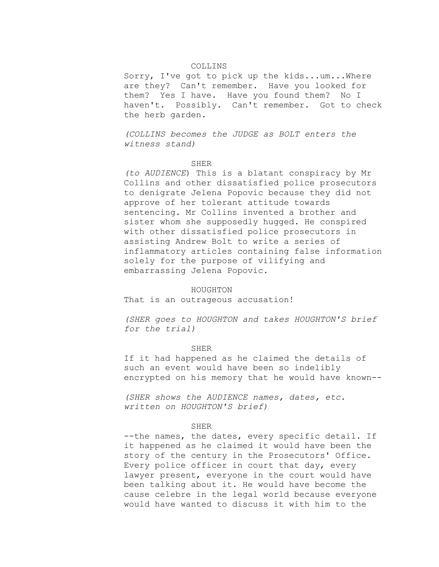# COLLINS

Sorry, I've got to pick up the kids...um...Where are they? Can't remember. Have you looked for them? Yes I have. Have you found them? No I haven't. Possibly. Can't remember. Got to check the herb garden.

*(COLLINS becomes the JUDGE as BOLT enters the witness stand)*

#### SHER

*(to AUDIENCE*) This is a blatant conspiracy by Mr Collins and other dissatisfied police prosecutors to denigrate Jelena Popovic because they did not approve of her tolerant attitude towards sentencing. Mr Collins invented a brother and sister whom she supposedly hugged. He conspired with other dissatisfied police prosecutors in assisting Andrew Bolt to write a series of inflammatory articles containing false information solely for the purpose of vilifying and embarrassing Jelena Popovic.

#### HOUGHTON

That is an outrageous accusation!

*(SHER goes to HOUGHTON and takes HOUGHTON'S brief for the trial)*

#### SHER

If it had happened as he claimed the details of such an event would have been so indelibly encrypted on his memory that he would have known--

*(SHER shows the AUDIENCE names, dates, etc. written on HOUGHTON'S brief)*

#### SHER

--the names, the dates, every specific detail. If it happened as he claimed it would have been the story of the century in the Prosecutors' Office. Every police officer in court that day, every lawyer present, everyone in the court would have been talking about it. He would have become the cause celebre in the legal world because everyone would have wanted to discuss it with him to the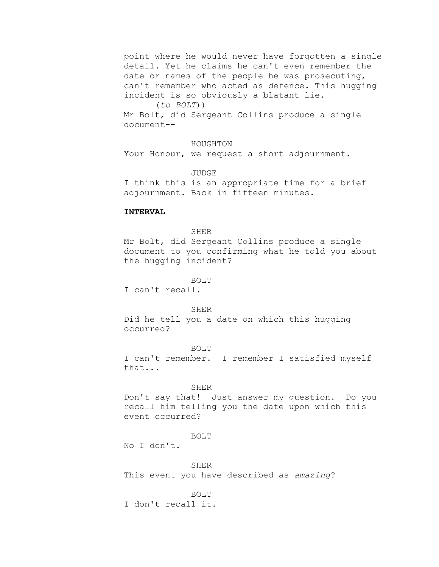point where he would never have forgotten a single detail. Yet he claims he can't even remember the date or names of the people he was prosecuting, can't remember who acted as defence. This hugging incident is so obviously a blatant lie.

# (*to BOLT*))

Mr Bolt, did Sergeant Collins produce a single document--

# HOUGHTON

Your Honour, we request a short adjournment.

JUDGE

I think this is an appropriate time for a brief adjournment. Back in fifteen minutes.

# **INTERVAL**

### **SHER**

Mr Bolt, did Sergeant Collins produce a single document to you confirming what he told you about the hugging incident?

BOLT

I can't recall.

### SHER

Did he tell you a date on which this hugging occurred?

#### BOLT

I can't remember. I remember I satisfied myself that...

### SHER

Don't say that! Just answer my question. Do you recall him telling you the date upon which this event occurred?

#### BOLT

No I don't.

# SHER

This event you have described as *amazing*?

### BOLT

I don't recall it.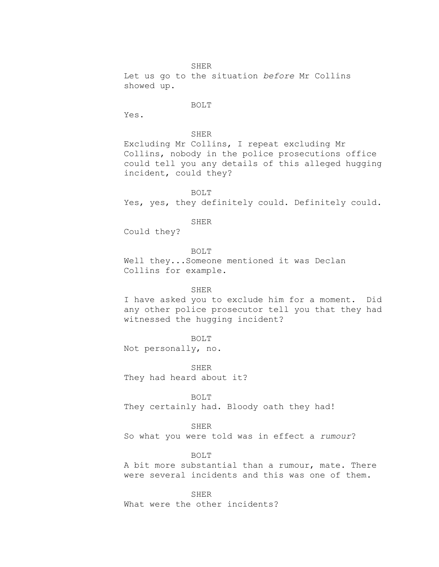SHER Let us go to the situation *before* Mr Collins showed up.

### BOLT

Yes.

# SHER

Excluding Mr Collins, I repeat excluding Mr Collins, nobody in the police prosecutions office could tell you any details of this alleged hugging incident, could they?

BOLT Yes, yes, they definitely could. Definitely could.

### SHER

Could they?

BOLT Well they...Someone mentioned it was Declan Collins for example.

## SHER

I have asked you to exclude him for a moment. Did any other police prosecutor tell you that they had witnessed the hugging incident?

# BOLT

Not personally, no.

SHER They had heard about it?

BOLT They certainly had. Bloody oath they had!

SHER So what you were told was in effect a *rumour*?

BOLT

A bit more substantial than a rumour, mate. There were several incidents and this was one of them.

SHER

What were the other incidents?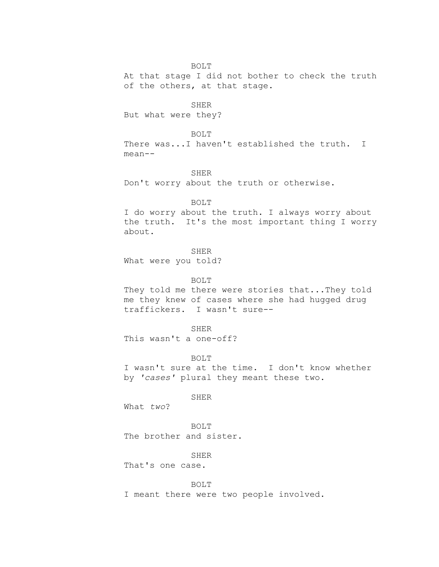BOLT

At that stage I did not bother to check the truth of the others, at that stage.

SHER

But what were they?

BOLT

There was...I haven't established the truth. I mean--

SHER

Don't worry about the truth or otherwise.

### BOLT

I do worry about the truth. I always worry about the truth. It's the most important thing I worry about.

SHER

What were you told?

BOLT

They told me there were stories that...They told me they knew of cases where she had hugged drug traffickers. I wasn't sure--

SHER

This wasn't a one-off?

BOLT

I wasn't sure at the time. I don't know whether by *'cases'* plural they meant these two.

SHER

What *two*?

BOLT The brother and sister.

SHER

That's one case.

### BOLT

I meant there were two people involved.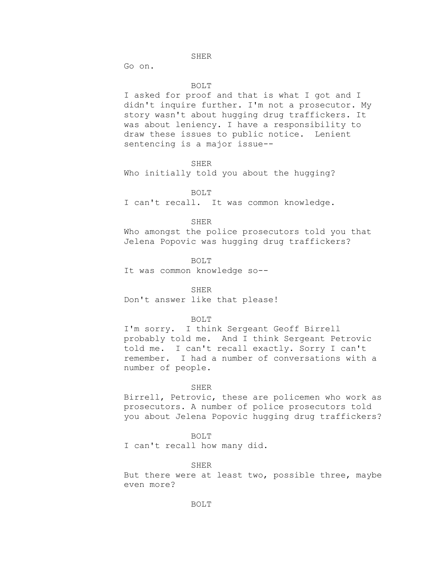Go on.

#### BOLT

I asked for proof and that is what I got and I didn't inquire further. I'm not a prosecutor. My story wasn't about hugging drug traffickers. It was about leniency. I have a responsibility to draw these issues to public notice. Lenient sentencing is a major issue--

SHER

Who initially told you about the hugging?

BOLT

I can't recall. It was common knowledge.

## SHER

Who amongst the police prosecutors told you that Jelena Popovic was hugging drug traffickers?

BOLT

It was common knowledge so--

#### SHER

Don't answer like that please!

### BOLT

I'm sorry. I think Sergeant Geoff Birrell probably told me. And I think Sergeant Petrovic told me. I can't recall exactly. Sorry I can't remember. I had a number of conversations with a number of people.

#### SHER

Birrell, Petrovic, these are policemen who work as prosecutors. A number of police prosecutors told you about Jelena Popovic hugging drug traffickers?

# BOLT

I can't recall how many did.

### SHER

But there were at least two, possible three, maybe even more?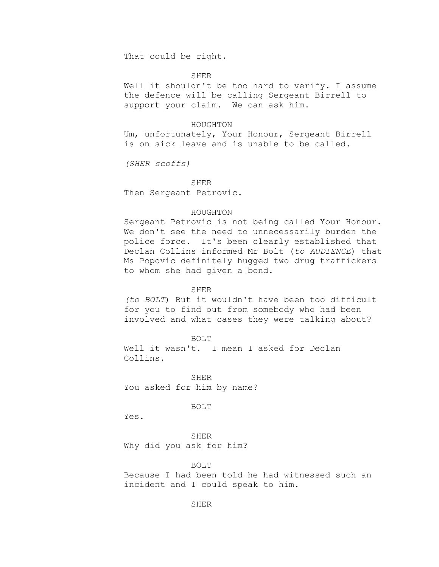That could be right.

# SHER

Well it shouldn't be too hard to verify. I assume the defence will be calling Sergeant Birrell to support your claim. We can ask him.

#### HOUGHTON

Um, unfortunately, Your Honour, Sergeant Birrell is on sick leave and is unable to be called.

*(SHER scoffs)*

SHER

Then Sergeant Petrovic.

### HOUGHTON

Sergeant Petrovic is not being called Your Honour. We don't see the need to unnecessarily burden the police force. It's been clearly established that Declan Collins informed Mr Bolt (*to AUDIENCE*) that Ms Popovic definitely hugged two drug traffickers to whom she had given a bond.

## SHER

*(to BOLT*) But it wouldn't have been too difficult for you to find out from somebody who had been involved and what cases they were talking about?

BOLT

Well it wasn't. I mean I asked for Declan Collins.

SHER You asked for him by name?

BOLT

Yes.

SHER Why did you ask for him?

BOLT

Because I had been told he had witnessed such an incident and I could speak to him.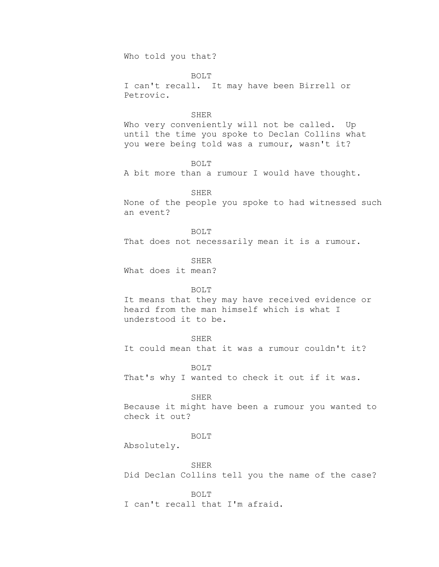Who told you that?

BOLT

I can't recall. It may have been Birrell or Petrovic.

### SHER

Who very conveniently will not be called. Up until the time you spoke to Declan Collins what you were being told was a rumour, wasn't it?

BOLT

A bit more than a rumour I would have thought.

SHER

None of the people you spoke to had witnessed such an event?

BOLT

That does not necessarily mean it is a rumour.

SHER What does it mean?

# BOLT

It means that they may have received evidence or heard from the man himself which is what I understood it to be.

# SHER

It could mean that it was a rumour couldn't it?

BOLT

That's why I wanted to check it out if it was.

#### SHER

Because it might have been a rumour you wanted to check it out?

BOLT

Absolutely.

SHER

Did Declan Collins tell you the name of the case?

BOLT

I can't recall that I'm afraid.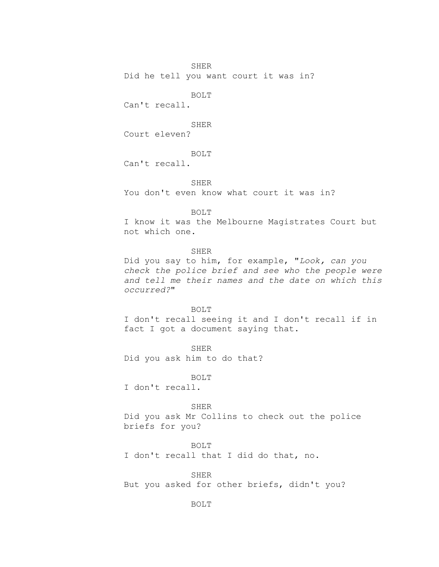Did he tell you want court it was in?

BOLT

Can't recall.

SHER Court eleven?

BOLT

Can't recall.

SHER

You don't even know what court it was in?

## BOLT

I know it was the Melbourne Magistrates Court but not which one.

# SHER

Did you say to him, for example, "*Look, can you check the police brief and see who the people were and tell me their names and the date on which this occurred?*"

### BOLT

I don't recall seeing it and I don't recall if in fact I got a document saying that.

SHER Did you ask him to do that?

#### BOLT

I don't recall.

# SHER

Did you ask Mr Collins to check out the police briefs for you?

BOLT I don't recall that I did do that, no.

SHER But you asked for other briefs, didn't you?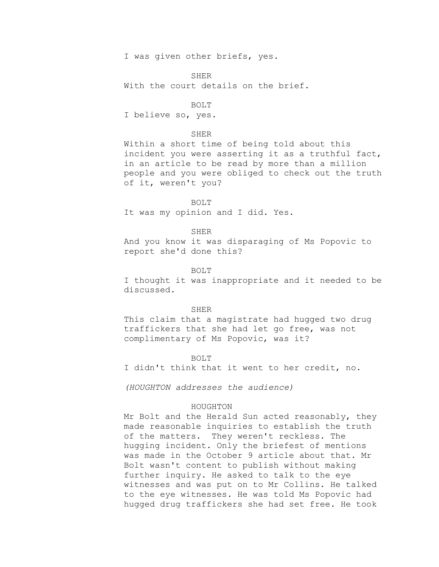I was given other briefs, yes.

SHER

With the court details on the brief.

BOLT

I believe so, yes.

# SHER

Within a short time of being told about this incident you were asserting it as a truthful fact, in an article to be read by more than a million people and you were obliged to check out the truth of it, weren't you?

BOLT It was my opinion and I did. Yes.

### **SHER**

And you know it was disparaging of Ms Popovic to report she'd done this?

## BOLT

I thought it was inappropriate and it needed to be discussed.

#### SHER

This claim that a magistrate had hugged two drug traffickers that she had let go free, was not complimentary of Ms Popovic, was it?

#### BOLT

I didn't think that it went to her credit, no.

*(HOUGHTON addresses the audience)*

## HOUGHTON

Mr Bolt and the Herald Sun acted reasonably, they made reasonable inquiries to establish the truth of the matters. They weren't reckless. The hugging incident. Only the briefest of mentions was made in the October 9 article about that. Mr Bolt wasn't content to publish without making further inquiry. He asked to talk to the eye witnesses and was put on to Mr Collins. He talked to the eye witnesses. He was told Ms Popovic had hugged drug traffickers she had set free. He took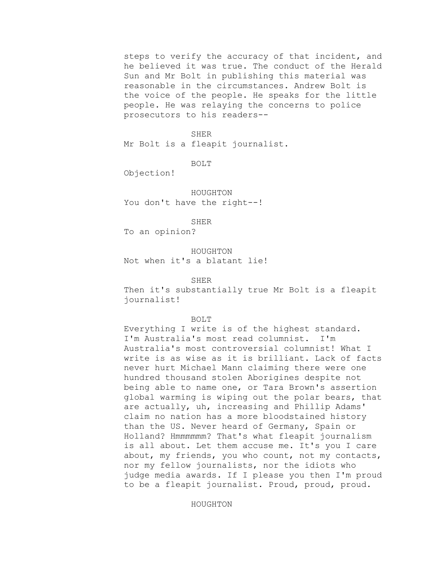steps to verify the accuracy of that incident, and he believed it was true. The conduct of the Herald Sun and Mr Bolt in publishing this material was reasonable in the circumstances. Andrew Bolt is the voice of the people. He speaks for the little people. He was relaying the concerns to police prosecutors to his readers--

SHER

Mr Bolt is a fleapit journalist.

BOLT

Objection!

HOUGHTON You don't have the right--!

SHER

To an opinion?

HOUGHTON Not when it's a blatant lie!

SHER

Then it's substantially true Mr Bolt is a fleapit journalist!

## BOLT

Everything I write is of the highest standard. I'm Australia's most read columnist. I'm Australia's most controversial columnist! What I write is as wise as it is brilliant. Lack of facts never hurt Michael Mann claiming there were one hundred thousand stolen Aborigines despite not being able to name one, or Tara Brown's assertion global warming is wiping out the polar bears, that are actually, uh, increasing and Phillip Adams' claim no nation has a more bloodstained history than the US. Never heard of Germany, Spain or Holland? Hmmmmmm? That's what fleapit journalism is all about. Let them accuse me. It's you I care about, my friends, you who count, not my contacts, nor my fellow journalists, nor the idiots who judge media awards. If I please you then I'm proud to be a fleapit journalist. Proud, proud, proud.

HOUGHTON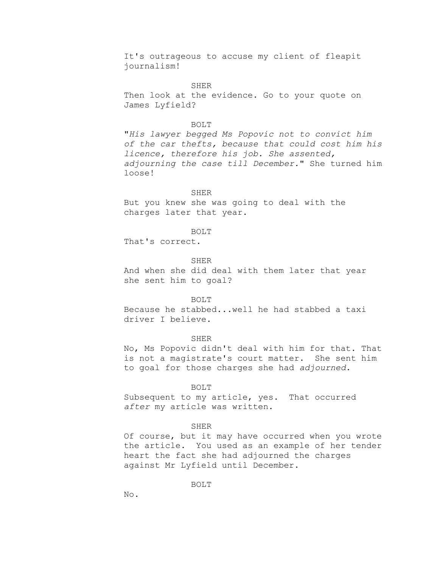It's outrageous to accuse my client of fleapit journalism!

SHER

Then look at the evidence. Go to your quote on James Lyfield?

### BOLT

"*His lawyer begged Ms Popovic not to convict him of the car thefts, because that could cost him his licence, therefore his job. She assented, adjourning the case till December.*" She turned him loose!

# SHER

But you knew she was going to deal with the charges later that year.

### BOLT

That's correct.

### SHER

And when she did deal with them later that year she sent him to goal?

## BOLT

Because he stabbed...well he had stabbed a taxi driver I believe.

# SHER

No, Ms Popovic didn't deal with him for that. That is not a magistrate's court matter. She sent him to goal for those charges she had *adjourned*.

#### BOLT

Subsequent to my article, yes. That occurred *after* my article was written.

#### SHER

Of course, but it may have occurred when you wrote the article. You used as an example of her tender heart the fact she had adjourned the charges against Mr Lyfield until December.

BOLT

No.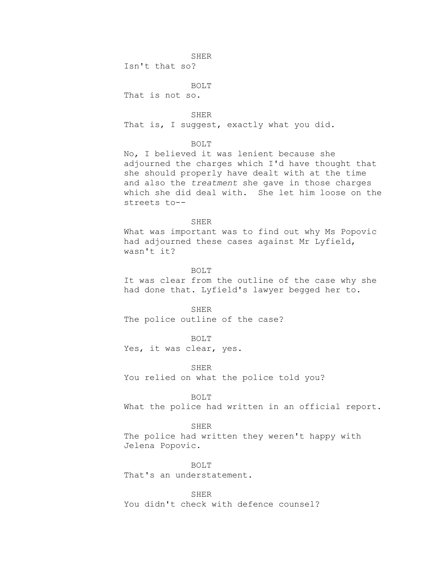Isn't that so?

BOLT That is not so.

SHER That is, I suggest, exactly what you did.

## BOLT

No, I believed it was lenient because she adjourned the charges which I'd have thought that she should properly have dealt with at the time and also the *treatment* she gave in those charges which she did deal with. She let him loose on the streets to--

### SHER

What was important was to find out why Ms Popovic had adjourned these cases against Mr Lyfield, wasn't it?

# BOLT

It was clear from the outline of the case why she had done that. Lyfield's lawyer begged her to.

SHER The police outline of the case?

BOLT

Yes, it was clear, yes.

SHER You relied on what the police told you?

# BOLT

What the police had written in an official report.

# SHER

The police had written they weren't happy with Jelena Popovic.

BOLT That's an understatement.

SHER You didn't check with defence counsel?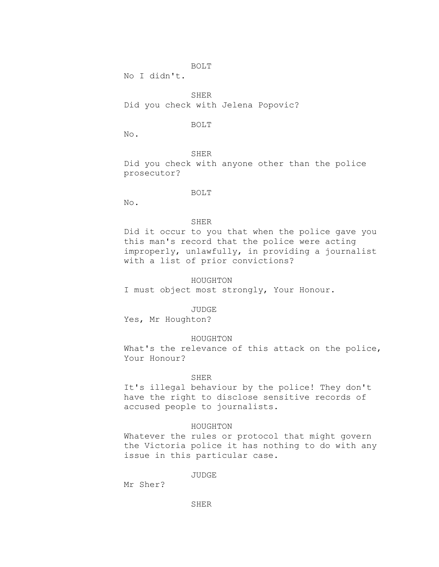# BOLT

No I didn't.

SHER Did you check with Jelena Popovic?

# BOLT

No.

SHER Did you check with anyone other than the police prosecutor?

# BOLT

No.

## SHER

Did it occur to you that when the police gave you this man's record that the police were acting improperly, unlawfully, in providing a journalist with a list of prior convictions?

# HOUGHTON

I must object most strongly, Your Honour.

JUDGE

Yes, Mr Houghton?

# HOUGHTON

What's the relevance of this attack on the police, Your Honour?

### SHER

It's illegal behaviour by the police! They don't have the right to disclose sensitive records of accused people to journalists.

# HOUGHTON

Whatever the rules or protocol that might govern the Victoria police it has nothing to do with any issue in this particular case.

JUDGE

Mr Sher?

SHER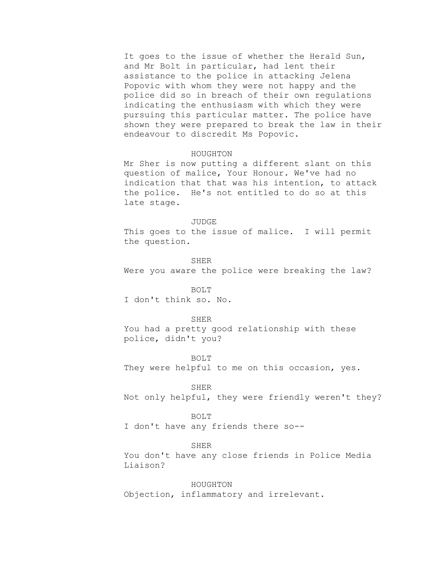It goes to the issue of whether the Herald Sun, and Mr Bolt in particular, had lent their assistance to the police in attacking Jelena Popovic with whom they were not happy and the police did so in breach of their own regulations indicating the enthusiasm with which they were pursuing this particular matter. The police have shown they were prepared to break the law in their endeavour to discredit Ms Popovic.

#### HOUGHTON

Mr Sher is now putting a different slant on this question of malice, Your Honour. We've had no indication that that was his intention, to attack the police. He's not entitled to do so at this late stage.

#### JUDGE

This goes to the issue of malice. I will permit the question.

SHER

Were you aware the police were breaking the law?

## BOLT

I don't think so. No.

## SHER

You had a pretty good relationship with these police, didn't you?

# BOLT

They were helpful to me on this occasion, yes.

### SHER

Not only helpful, they were friendly weren't they?

### BOLT

I don't have any friends there so--

# SHER

You don't have any close friends in Police Media Liaison?

# HOUGHTON

Objection, inflammatory and irrelevant.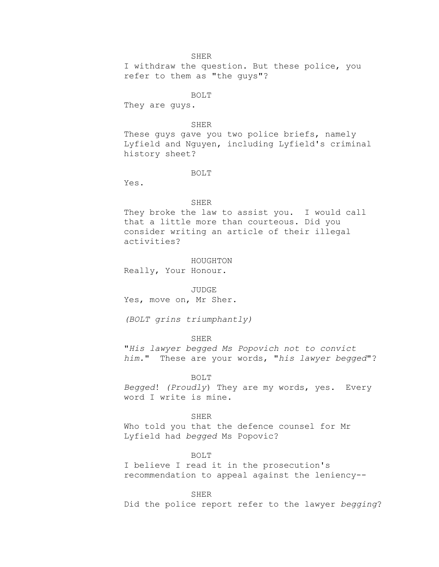I withdraw the question. But these police, you refer to them as "the guys"?

# BOLT

They are guys.

### SHER

These guys gave you two police briefs, namely Lyfield and Nguyen, including Lyfield's criminal history sheet?

#### BOLT

Yes.

#### SHER

They broke the law to assist you. I would call that a little more than courteous. Did you consider writing an article of their illegal activities?

### HOUGHTON

Really, Your Honour.

### JUDGE

Yes, move on, Mr Sher.

*(BOLT grins triumphantly)*

# SHER

"*His lawyer begged Ms Popovich not to convict him.*" These are your words, "*his lawyer begged*"?

### BOLT

*Begged*! *(Proudly*) They are my words, yes. Every word I write is mine.

## SHER

Who told you that the defence counsel for Mr Lyfield had *begged* Ms Popovic?

# BOLT

I believe I read it in the prosecution's recommendation to appeal against the leniency--

#### SHER

Did the police report refer to the lawyer *begging*?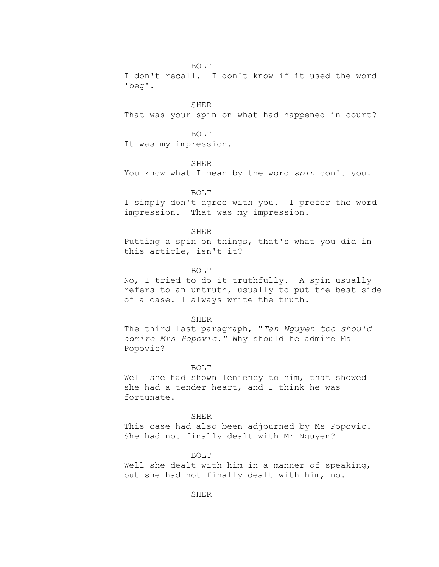# BOLT

I don't recall. I don't know if it used the word 'beg'.

### SHER

That was your spin on what had happened in court?

# BOLT

It was my impression.

#### SHER

You know what I mean by the word *spin* don't you.

### BOLT

I simply don't agree with you. I prefer the word impression. That was my impression.

### SHER

Putting a spin on things, that's what you did in this article, isn't it?

# BOLT

No, I tried to do it truthfully. A spin usually refers to an untruth, usually to put the best side of a case. I always write the truth.

### SHER

The third last paragraph, "*Tan Nguyen too should admire Mrs Popovic."* Why should he admire Ms Popovic?

### BOLT

Well she had shown leniency to him, that showed she had a tender heart, and I think he was fortunate.

### SHER

This case had also been adjourned by Ms Popovic. She had not finally dealt with Mr Nguyen?

### BOLT

Well she dealt with him in a manner of speaking, but she had not finally dealt with him, no.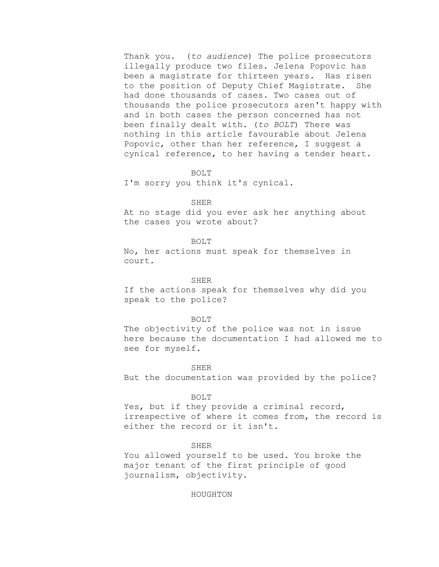Thank you. (*to audience*) The police prosecutors illegally produce two files. Jelena Popovic has been a magistrate for thirteen years. Has risen to the position of Deputy Chief Magistrate. She had done thousands of cases. Two cases out of thousands the police prosecutors aren't happy with and in both cases the person concerned has not been finally dealt with. (*to BOLT*) There was nothing in this article favourable about Jelena Popovic, other than her reference, I suggest a cynical reference, to her having a tender heart.

# BOLT

I'm sorry you think it's cynical.

### SHER

At no stage did you ever ask her anything about the cases you wrote about?

### BOLT

No, her actions must speak for themselves in court.

### SHER

If the actions speak for themselves why did you speak to the police?

#### BOLT

The objectivity of the police was not in issue here because the documentation I had allowed me to see for myself.

#### SHER

But the documentation was provided by the police?

### BOLT

Yes, but if they provide a criminal record, irrespective of where it comes from, the record is either the record or it isn't.

### SHER

You allowed yourself to be used. You broke the major tenant of the first principle of good journalism, objectivity.

# HOUGHTON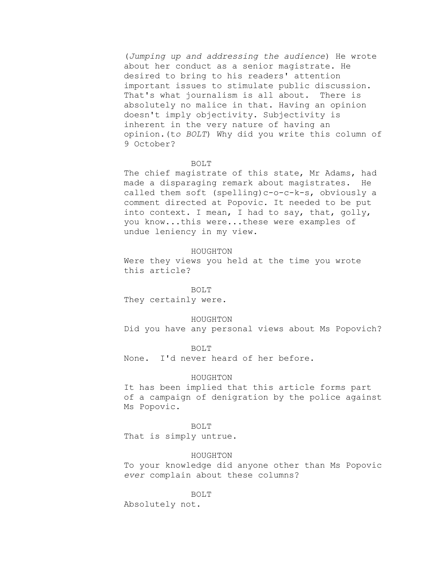(*Jumping up and addressing the audience*) He wrote about her conduct as a senior magistrate. He desired to bring to his readers' attention important issues to stimulate public discussion. That's what journalism is all about. There is absolutely no malice in that. Having an opinion doesn't imply objectivity. Subjectivity is inherent in the very nature of having an opinion.(t*o BOLT*) Why did you write this column of 9 October?

### BOLT

The chief magistrate of this state, Mr Adams, had made a disparaging remark about magistrates. He called them soft (spelling)c-o-c-k-s, obviously a comment directed at Popovic. It needed to be put into context. I mean, I had to say, that, golly, you know...this were...these were examples of undue leniency in my view.

#### HOUGHTON

Were they views you held at the time you wrote this article?

### BOLT

They certainly were.

### HOUGHTON

Did you have any personal views about Ms Popovich?

BOLT

None. I'd never heard of her before.

### HOUGHTON

It has been implied that this article forms part of a campaign of denigration by the police against Ms Popovic.

### BOLT

That is simply untrue.

#### HOUGHTON

To your knowledge did anyone other than Ms Popovic *ever* complain about these columns?

#### BOLT

Absolutely not.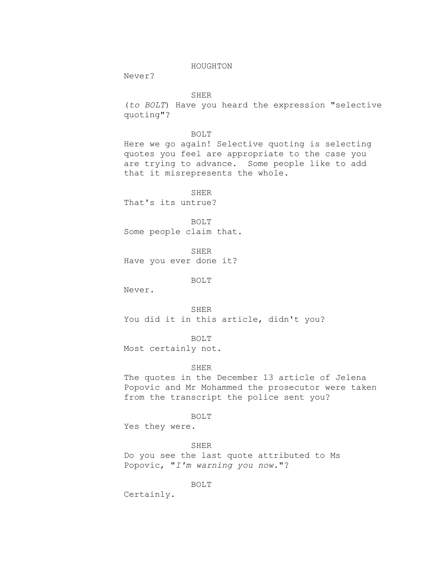# HOUGHTON

Never?

SHER

(*to BOLT*) Have you heard the expression "selective quoting"?

BOLT

Here we go again! Selective quoting is selecting quotes you feel are appropriate to the case you are trying to advance. Some people like to add that it misrepresents the whole.

SHER

That's its untrue?

BOLT

Some people claim that.

SHER Have you ever done it?

BOLT

Never.

SHER You did it in this article, didn't you?

BOLT

Most certainly not.

# SHER

The quotes in the December 13 article of Jelena Popovic and Mr Mohammed the prosecutor were taken from the transcript the police sent you?

BOLT

Yes they were.

SHER Do you see the last quote attributed to Ms Popovic, "*I'm warning you now*."?

BOLT

Certainly.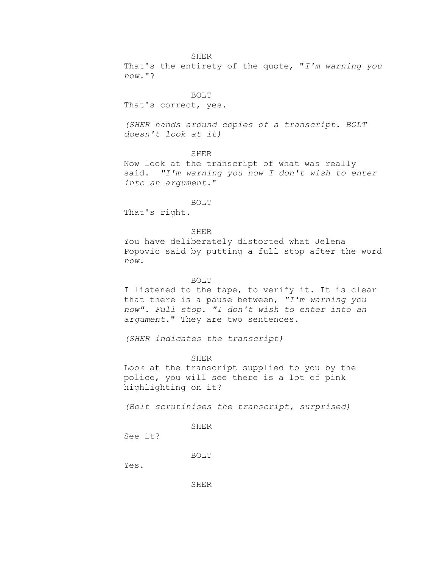### SHER

That's the entirety of the quote, "*I'm warning you now.*"?

BOLT

That's correct, yes.

*(SHER hands around copies of a transcript. BOLT doesn't look at it)*

### **SHER**

Now look at the transcript of what was really said. *"I'm warning you now I don't wish to enter into an argument*."

#### BOLT

That's right.

### SHER

You have deliberately distorted what Jelena Popovic said by putting a full stop after the word *now*.

## BOLT

I listened to the tape, to verify it. It is clear that there is a pause between, *"I'm warning you now". Full stop. "I don't wish to enter into an argument.*" They are two sentences.

*(SHER indicates the transcript)*

### SHER

Look at the transcript supplied to you by the police, you will see there is a lot of pink highlighting on it?

*(Bolt scrutinises the transcript, surprised)*

SHER

See it?

BOLT

Yes.

SHER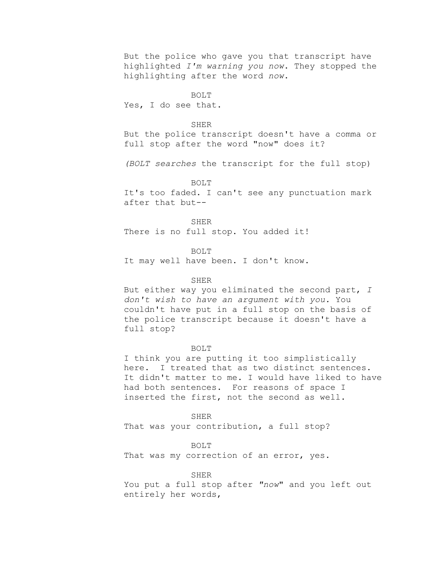But the police who gave you that transcript have highlighted *I'm warning you now*. They stopped the highlighting after the word *now*.

BOLT

Yes, I do see that.

#### SHER

But the police transcript doesn't have a comma or full stop after the word "now" does it?

*(BOLT searches* the transcript for the full stop)

BOLT

It's too faded. I can't see any punctuation mark after that but--

SHER

There is no full stop. You added it!

BOLT It may well have been. I don't know.

### SHER

But either way you eliminated the second part, *I don't wish to have an argument with you.* You couldn't have put in a full stop on the basis of the police transcript because it doesn't have a full stop?

#### BOLT

I think you are putting it too simplistically here. I treated that as two distinct sentences. It didn't matter to me. I would have liked to have had both sentences. For reasons of space I inserted the first, not the second as well.

SHER That was your contribution, a full stop?

BOLT

That was my correction of an error, yes.

SHER

You put a full stop after *"now*" and you left out entirely her words,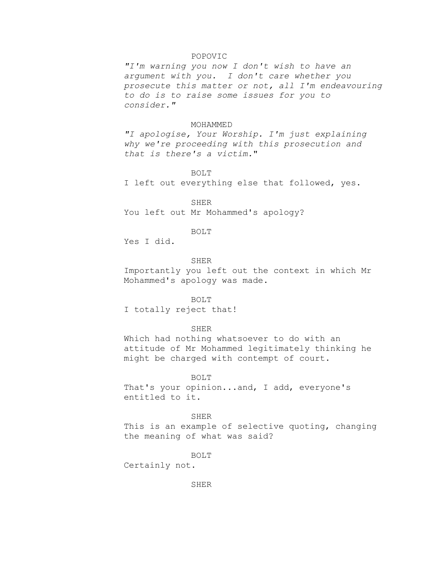# POPOVIC

*"I'm warning you now I don't wish to have an argument with you. I don't care whether you prosecute this matter or not, all I'm endeavouring to do is to raise some issues for you to consider."*

#### MOHAMMED

*"I apologise, Your Worship. I'm just explaining why we're proceeding with this prosecution and that is there's a victim.*"

BOLT

I left out everything else that followed, yes.

SHER You left out Mr Mohammed's apology?

### BOLT

Yes I did.

# SHER

Importantly you left out the context in which Mr Mohammed's apology was made.

#### BOLT

I totally reject that!

### SHER

Which had nothing whatsoever to do with an attitude of Mr Mohammed legitimately thinking he might be charged with contempt of court.

### BOLT

That's your opinion...and, I add, everyone's entitled to it.

### SHER

This is an example of selective quoting, changing the meaning of what was said?

BOLT

Certainly not.

SHER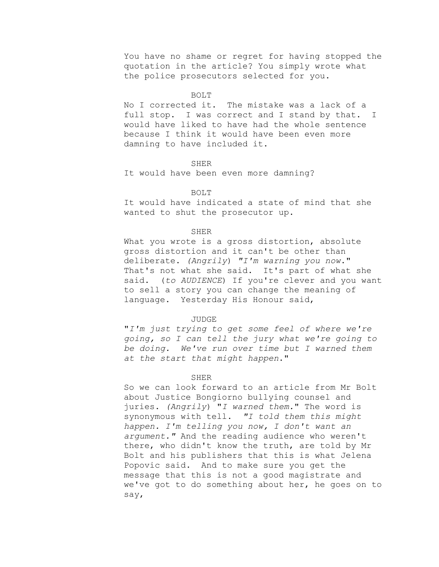You have no shame or regret for having stopped the quotation in the article? You simply wrote what the police prosecutors selected for you.

### BOLT

No I corrected it. The mistake was a lack of a full stop. I was correct and I stand by that. I would have liked to have had the whole sentence because I think it would have been even more damning to have included it.

### SHER

It would have been even more damning?

### BOLT

It would have indicated a state of mind that she wanted to shut the prosecutor up.

# SHER

What you wrote is a gross distortion, absolute gross distortion and it can't be other than deliberate. *(Angrily*) *"I'm warning you now*." That's not what she said. It's part of what she said. (*to AUDIENCE*) If you're clever and you want to sell a story you can change the meaning of language. Yesterday His Honour said,

### JUDGE

"*I'm just trying to get some feel of where we're going, so I can tell the jury what we're going to be doing. We've run over time but I warned them at the start that might happen*."

### SHER

So we can look forward to an article from Mr Bolt about Justice Bongiorno bullying counsel and juries. *(Angrily*) "*I warned them.*" The word is synonymous with tell. *"I told them this might happen. I'm telling you now, I don't want an argument."* And the reading audience who weren't there, who didn't know the truth, are told by Mr Bolt and his publishers that this is what Jelena Popovic said. And to make sure you get the message that this is not a good magistrate and we've got to do something about her, he goes on to say,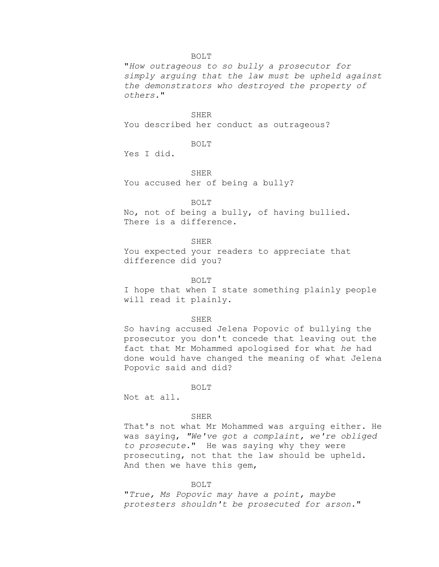"*How outrageous to so bully a prosecutor for simply arguing that the law must be upheld against the demonstrators who destroyed the property of others.*"

# SHER

You described her conduct as outrageous?

# BOLT

Yes I did.

# SHER

You accused her of being a bully?

# BOLT

No, not of being a bully, of having bullied. There is a difference.

# SHER

You expected your readers to appreciate that difference did you?

# BOLT

I hope that when I state something plainly people will read it plainly.

### SHER

So having accused Jelena Popovic of bullying the prosecutor you don't concede that leaving out the fact that Mr Mohammed apologised for what *he* had done would have changed the meaning of what Jelena Popovic said and did?

#### BOLT

Not at all.

### SHER

That's not what Mr Mohammed was arguing either. He was saying, *"We've got a complaint, we're obliged to prosecute*." He was saying why they were prosecuting, not that the law should be upheld. And then we have this gem,

### BOLT

"*True, Ms Popovic may have a point, maybe protesters shouldn't be prosecuted for arson*."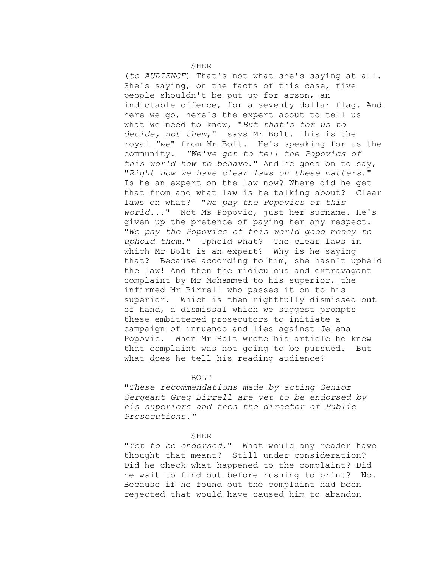(*to AUDIENCE*) That's not what she's saying at all. She's saying, on the facts of this case, five people shouldn't be put up for arson, an indictable offence, for a seventy dollar flag. And here we go, here's the expert about to tell us what we need to know, "*But that's for us to decide, not them*," says Mr Bolt. This is the royal *"we*" from Mr Bolt. He's speaking for us the community. *"We've got to tell the Popovics of this world how to behave*." And he goes on to say, "*Right now we have clear laws on these matters*." Is he an expert on the law now? Where did he get that from and what law is he talking about? Clear laws on what? "*We pay the Popovics of this world.*.." Not Ms Popovic, just her surname. He's given up the pretence of paying her any respect. "*We pay the Popovics of this world good money to uphold them.*" Uphold what? The clear laws in which Mr Bolt is an expert? Why is he saying that? Because according to him, she hasn't upheld the law! And then the ridiculous and extravagant complaint by Mr Mohammed to his superior, the infirmed Mr Birrell who passes it on to his superior. Which is then rightfully dismissed out of hand, a dismissal which we suggest prompts these embittered prosecutors to initiate a campaign of innuendo and lies against Jelena Popovic. When Mr Bolt wrote his article he knew that complaint was not going to be pursued. But what does he tell his reading audience?

BOLT

"*These recommendations made by acting Senior Sergeant Greg Birrell are yet to be endorsed by his superiors and then the director of Public Prosecutions."*

#### SHER

"*Yet to be endorsed*." What would any reader have thought that meant? Still under consideration? Did he check what happened to the complaint? Did he wait to find out before rushing to print? No. Because if he found out the complaint had been rejected that would have caused him to abandon

SHER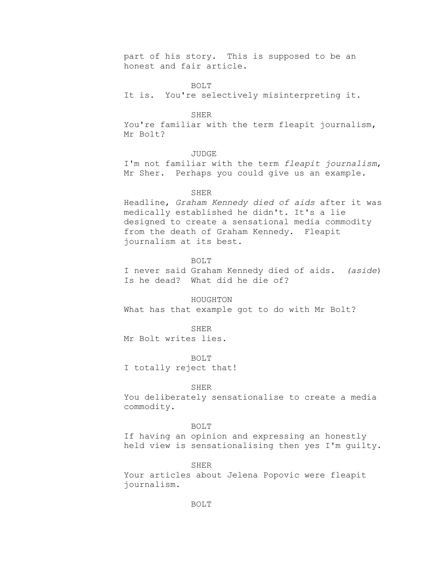part of his story. This is supposed to be an honest and fair article.

BOLT

It is. You're selectively misinterpreting it.

#### SHER

You're familiar with the term fleapit journalism, Mr Bolt?

### JUDGE

I'm not familiar with the term *fleapit journalism*, Mr Sher. Perhaps you could give us an example.

### SHER

Headline, *Graham Kennedy died of aids* after it was medically established he didn't. It's a lie designed to create a sensational media commodity from the death of Graham Kennedy. Fleapit journalism at its best.

# BOLT

I never said Graham Kennedy died of aids. *(aside*) Is he dead? What did he die of?

HOUGHTON What has that example got to do with Mr Bolt?

#### SHER

Mr Bolt writes lies.

#### BOLT

I totally reject that!

#### SHER

You deliberately sensationalise to create a media commodity.

# BOLT

If having an opinion and expressing an honestly held view is sensationalising then yes I'm guilty.

### SHER

Your articles about Jelena Popovic were fleapit journalism.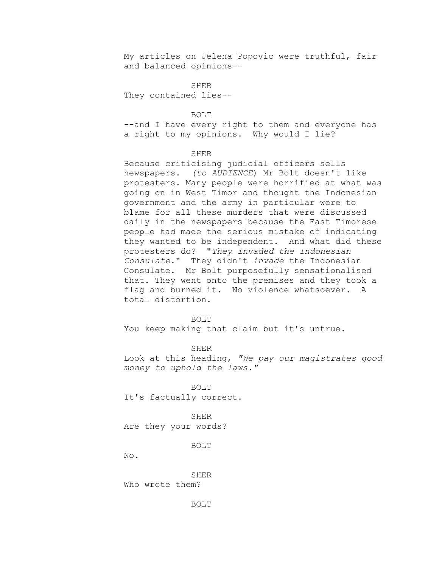My articles on Jelena Popovic were truthful, fair and balanced opinions--

SHER They contained lies--

BOLT

--and I have every right to them and everyone has a right to my opinions. Why would I lie?

### **SHER**

Because criticising judicial officers sells newspapers. *(to AUDIENCE*) Mr Bolt doesn't like protesters. Many people were horrified at what was going on in West Timor and thought the Indonesian government and the army in particular were to blame for all these murders that were discussed daily in the newspapers because the East Timorese people had made the serious mistake of indicating they wanted to be independent. And what did these protesters do? "*They invaded the Indonesian Consulate*." They didn't *invade* the Indonesian Consulate. Mr Bolt purposefully sensationalised that. They went onto the premises and they took a flag and burned it. No violence whatsoever. A total distortion.

#### BOLT

You keep making that claim but it's untrue.

#### SHER

Look at this heading, *"We pay our magistrates good money to uphold the laws."*

#### BOLT

It's factually correct.

### SHER

Are they your words?

#### BOLT

No.

SHER Who wrote them?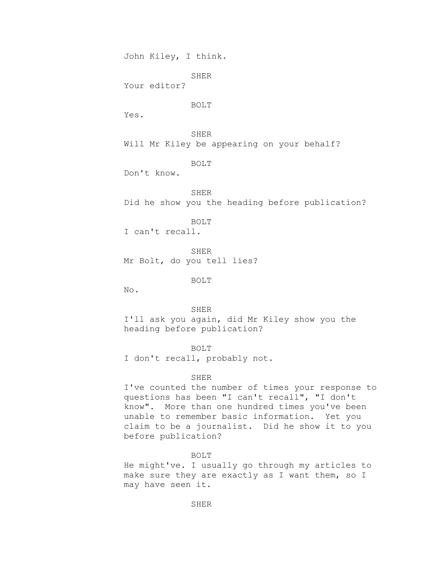John Kiley, I think.

SHER

Your editor?

BOLT

Yes.

SHER Will Mr Kiley be appearing on your behalf?

BOLT

Don't know.

SHER Did he show you the heading before publication?

BOLT

I can't recall.

SHER Mr Bolt, do you tell lies?

BOLT

No.

SHER I'll ask you again, did Mr Kiley show you the heading before publication?

BOLT

I don't recall, probably not.

# SHER

I've counted the number of times your response to questions has been "I can't recall", "I don't know". More than one hundred times you've been unable to remember basic information. Yet you claim to be a journalist. Did he show it to you before publication?

### BOLT

He might've. I usually go through my articles to make sure they are exactly as I want them, so I may have seen it.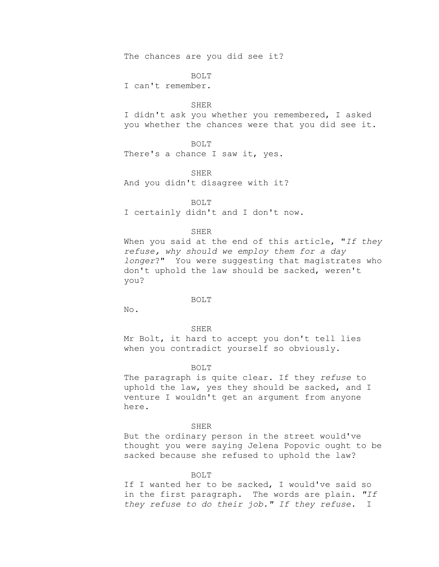The chances are you did see it?

BOLT

I can't remember.

### SHER

I didn't ask you whether you remembered, I asked you whether the chances were that you did see it.

### BOLT

There's a chance I saw it, yes.

SHER

And you didn't disagree with it?

BOLT I certainly didn't and I don't now.

### SHER

When you said at the end of this article, "*If they refuse, why should we employ them for a day longer*?" You were suggesting that magistrates who don't uphold the law should be sacked, weren't you?

### BOLT

No.

#### SHER

Mr Bolt, it hard to accept you don't tell lies when you contradict yourself so obviously.

### BOLT

The paragraph is quite clear. If they *refuse* to uphold the law, yes they should be sacked, and I venture I wouldn't get an argument from anyone here.

### SHER

But the ordinary person in the street would've thought you were saying Jelena Popovic ought to be sacked because she refused to uphold the law?

#### BOLT

If I wanted her to be sacked, I would've said so in the first paragraph. The words are plain. *"If they refuse to do their job." If they refuse.* I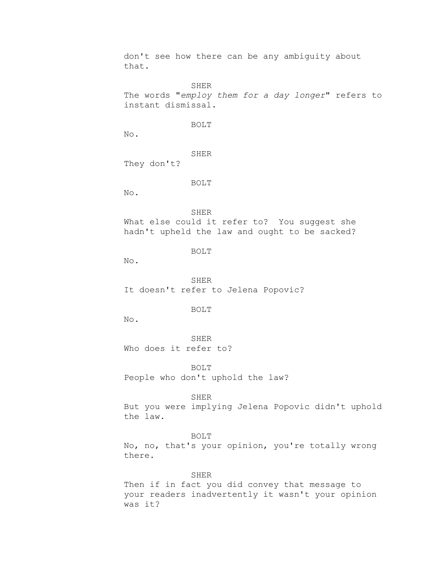don't see how there can be any ambiguity about that.

SHER The words "*employ them for a day longer*" refers to instant dismissal.

BOLT

No.

SHER

They don't?

BOLT

No.

SHER

What else could it refer to? You suggest she hadn't upheld the law and ought to be sacked?

BOLT

No.

SHER It doesn't refer to Jelena Popovic?

BOLT

No.

SHER Who does it refer to?

BOLT People who don't uphold the law?

SHER

But you were implying Jelena Popovic didn't uphold the law.

BOLT

No, no, that's your opinion, you're totally wrong there.

SHER

Then if in fact you did convey that message to your readers inadvertently it wasn't your opinion was it?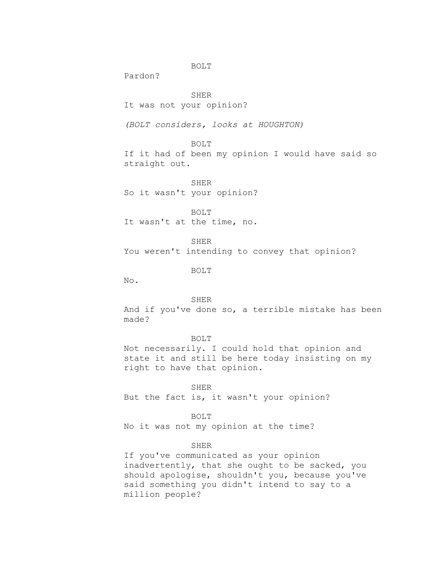Pardon?

SHER It was not your opinion?

*(BOLT considers, looks at HOUGHTON)*

BOLT

If it had of been my opinion I would have said so straight out.

SHER So it wasn't your opinion?

BOLT It wasn't at the time, no.

SHER You weren't intending to convey that opinion?

BOLT

No.

# SHER

And if you've done so, a terrible mistake has been made?

### BOLT

Not necessarily. I could hold that opinion and state it and still be here today insisting on my right to have that opinion.

#### SHER

But the fact is, it wasn't your opinion?

BOLT

No it was not my opinion at the time?

# SHER

If you've communicated as your opinion inadvertently, that she ought to be sacked, you should apologise, shouldn't you, because you've said something you didn't intend to say to a million people?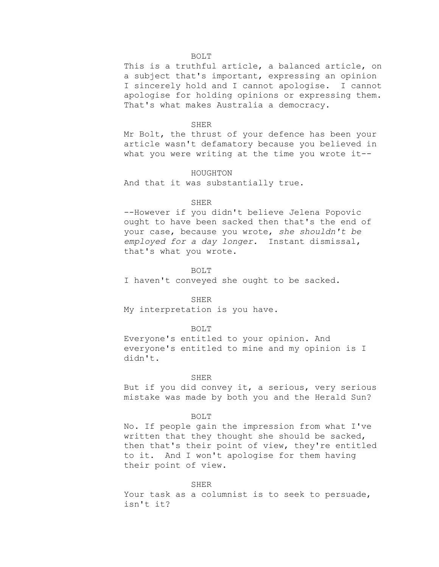This is a truthful article, a balanced article, on a subject that's important, expressing an opinion I sincerely hold and I cannot apologise. I cannot apologise for holding opinions or expressing them. That's what makes Australia a democracy.

#### SHER

Mr Bolt, the thrust of your defence has been your article wasn't defamatory because you believed in what you were writing at the time you wrote it--

### HOUGHTON

And that it was substantially true.

#### SHER

--However if you didn't believe Jelena Popovic ought to have been sacked then that's the end of your case, because you wrote, *she shouldn't be employed for a day longer.* Instant dismissal, that's what you wrote.

## BOLT

I haven't conveyed she ought to be sacked.

#### SHER

My interpretation is you have.

#### BOLT

Everyone's entitled to your opinion. And everyone's entitled to mine and my opinion is I didn't.

### SHER

But if you did convey it, a serious, very serious mistake was made by both you and the Herald Sun?

#### BOLT

No. If people gain the impression from what I've written that they thought she should be sacked, then that's their point of view, they're entitled to it. And I won't apologise for them having their point of view.

#### SHER

Your task as a columnist is to seek to persuade, isn't it?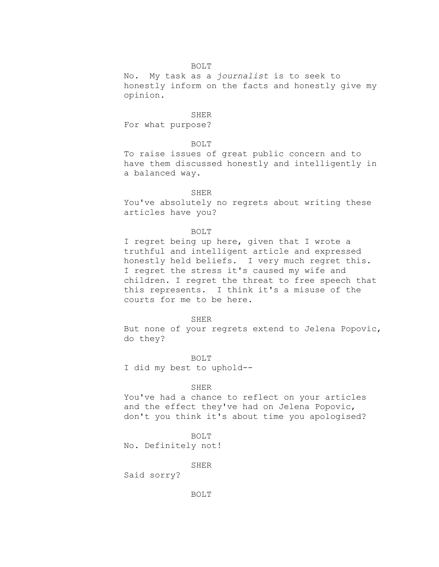No. My task as a *journalist* is to seek to honestly inform on the facts and honestly give my opinion.

SHER For what purpose?

### BOLT

To raise issues of great public concern and to have them discussed honestly and intelligently in a balanced way.

### SHER

You've absolutely no regrets about writing these articles have you?

### BOLT

I regret being up here, given that I wrote a truthful and intelligent article and expressed honestly held beliefs. I very much regret this. I regret the stress it's caused my wife and children. I regret the threat to free speech that this represents. I think it's a misuse of the courts for me to be here.

#### SHER

But none of your regrets extend to Jelena Popovic, do they?

BOLT I did my best to uphold--

### SHER

You've had a chance to reflect on your articles and the effect they've had on Jelena Popovic, don't you think it's about time you apologised?

BOLT

No. Definitely not!

SHER

Said sorry?

BOLT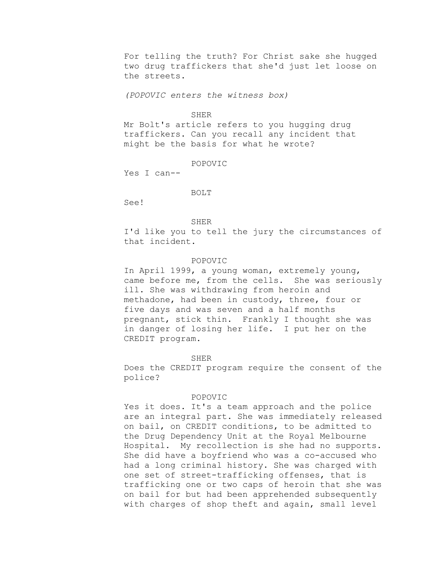For telling the truth? For Christ sake she hugged two drug traffickers that she'd just let loose on the streets.

*(POPOVIC enters the witness box)*

### SHER

Mr Bolt's article refers to you hugging drug traffickers. Can you recall any incident that might be the basis for what he wrote?

POPOVIC

Yes I can--

### BOLT

See!

### SHER

I'd like you to tell the jury the circumstances of that incident.

### POPOVIC

In April 1999, a young woman, extremely young, came before me, from the cells. She was seriously ill. She was withdrawing from heroin and methadone, had been in custody, three, four or five days and was seven and a half months pregnant, stick thin. Frankly I thought she was in danger of losing her life. I put her on the CREDIT program.

#### SHER

Does the CREDIT program require the consent of the police?

### POPOVIC

Yes it does. It's a team approach and the police are an integral part. She was immediately released on bail, on CREDIT conditions, to be admitted to the Drug Dependency Unit at the Royal Melbourne Hospital. My recollection is she had no supports. She did have a boyfriend who was a co-accused who had a long criminal history. She was charged with one set of street-trafficking offenses, that is trafficking one or two caps of heroin that she was on bail for but had been apprehended subsequently with charges of shop theft and again, small level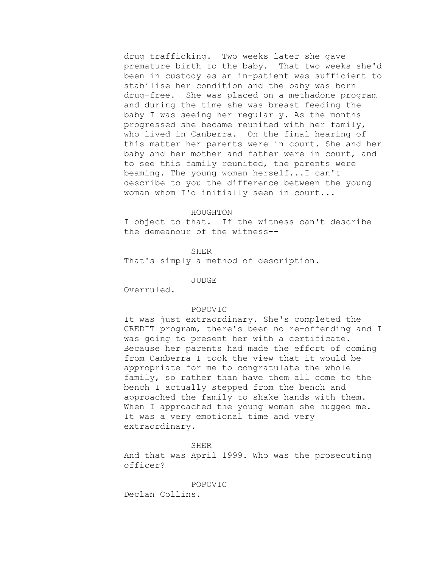drug trafficking. Two weeks later she gave premature birth to the baby. That two weeks she'd been in custody as an in-patient was sufficient to stabilise her condition and the baby was born drug-free. She was placed on a methadone program and during the time she was breast feeding the baby I was seeing her regularly. As the months progressed she became reunited with her family, who lived in Canberra. On the final hearing of this matter her parents were in court. She and her baby and her mother and father were in court, and to see this family reunited, the parents were beaming. The young woman herself...I can't describe to you the difference between the young woman whom I'd initially seen in court...

#### HOUGHTON

I object to that. If the witness can't describe the demeanour of the witness--

SHER That's simply a method of description.

JUDGE

Overruled.

### POPOVIC

It was just extraordinary. She's completed the CREDIT program, there's been no re-offending and I was going to present her with a certificate. Because her parents had made the effort of coming from Canberra I took the view that it would be appropriate for me to congratulate the whole family, so rather than have them all come to the bench I actually stepped from the bench and approached the family to shake hands with them. When I approached the young woman she hugged me. It was a very emotional time and very extraordinary.

#### SHER

And that was April 1999. Who was the prosecuting officer?

#### POPOVIC

Declan Collins.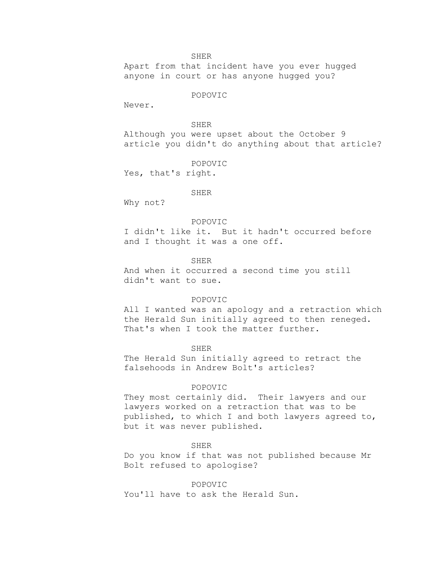SHER

Apart from that incident have you ever hugged anyone in court or has anyone hugged you?

POPOVIC

Never.

SHER

Although you were upset about the October 9 article you didn't do anything about that article?

POPOVIC

Yes, that's right.

### SHER

Why not?

#### POPOVIC

I didn't like it. But it hadn't occurred before and I thought it was a one off.

SHER

And when it occurred a second time you still didn't want to sue.

### POPOVIC

All I wanted was an apology and a retraction which the Herald Sun initially agreed to then reneged. That's when I took the matter further.

#### SHER

The Herald Sun initially agreed to retract the falsehoods in Andrew Bolt's articles?

# POPOVIC

They most certainly did. Their lawyers and our lawyers worked on a retraction that was to be published, to which I and both lawyers agreed to, but it was never published.

# SHER

Do you know if that was not published because Mr Bolt refused to apologise?

# POPOVIC

You'll have to ask the Herald Sun.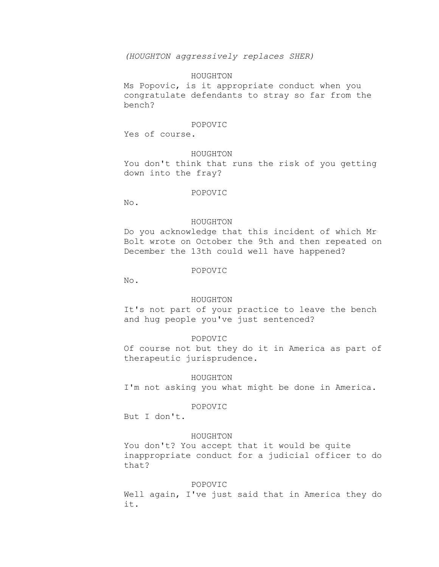*(HOUGHTON aggressively replaces SHER)*

### HOUGHTON

Ms Popovic, is it appropriate conduct when you congratulate defendants to stray so far from the bench?

#### POPOVIC

Yes of course.

# HOUGHTON

You don't think that runs the risk of you getting down into the fray?

### POPOVIC

No.

#### HOUGHTON

Do you acknowledge that this incident of which Mr Bolt wrote on October the 9th and then repeated on December the 13th could well have happened?

## POPOVIC

No.

### HOUGHTON

It's not part of your practice to leave the bench and hug people you've just sentenced?

# POPOVIC

Of course not but they do it in America as part of therapeutic jurisprudence.

#### HOUGHTON

I'm not asking you what might be done in America.

### POPOVIC

But I don't.

#### HOUGHTON

You don't? You accept that it would be quite inappropriate conduct for a judicial officer to do that?

# POPOVIC

Well again, I've just said that in America they do it.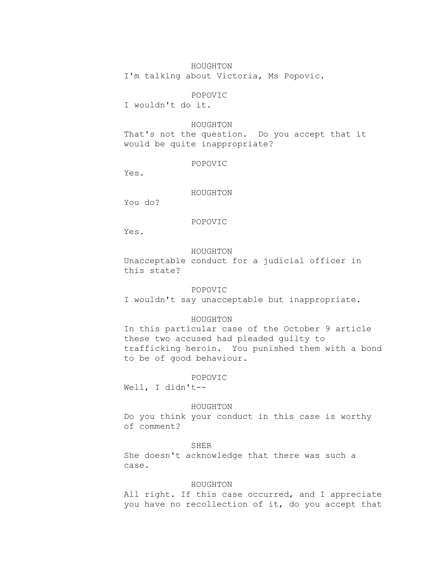# HOUGHTON

I'm talking about Victoria, Ms Popovic.

# POPOVIC

I wouldn't do it.

### HOUGHTON

That's not the question. Do you accept that it would be quite inappropriate?

# POPOVIC

Yes.

### HOUGHTON

You do?

# POPOVIC

Yes.

### HOUGHTON

Unacceptable conduct for a judicial officer in this state?

### POPOVIC

I wouldn't say unacceptable but inappropriate.

# HOUGHTON

In this particular case of the October 9 article these two accused had pleaded guilty to trafficking heroin. You punished them with a bond to be of good behaviour.

# POPOVIC

Well, I didn't--

#### HOUGHTON

Do you think your conduct in this case is worthy of comment?

### SHER

She doesn't acknowledge that there was such a case.

# HOUGHTON

All right. If this case occurred, and I appreciate you have no recollection of it, do you accept that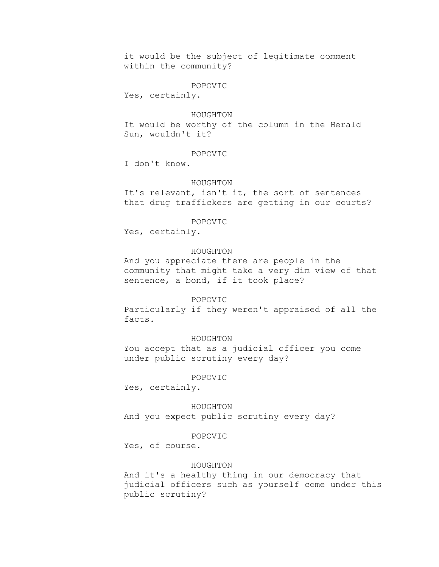it would be the subject of legitimate comment within the community?

POPOVIC

Yes, certainly.

### HOUGHTON

It would be worthy of the column in the Herald Sun, wouldn't it?

# POPOVIC

I don't know.

#### HOUGHTON

It's relevant, isn't it, the sort of sentences that drug traffickers are getting in our courts?

#### POPOVIC

Yes, certainly.

### HOUGHTON

And you appreciate there are people in the community that might take a very dim view of that sentence, a bond, if it took place?

### POPOVIC

Particularly if they weren't appraised of all the facts.

### HOUGHTON

You accept that as a judicial officer you come under public scrutiny every day?

### POPOVIC

Yes, certainly.

HOUGHTON

And you expect public scrutiny every day?

#### POPOVIC

Yes, of course.

### HOUGHTON

And it's a healthy thing in our democracy that judicial officers such as yourself come under this public scrutiny?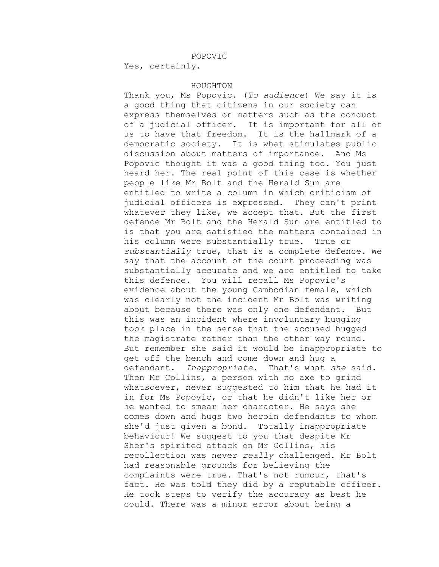### POPOVIC

Yes, certainly.

# HOUGHTON

Thank you, Ms Popovic. (*To audience*) We say it is a good thing that citizens in our society can express themselves on matters such as the conduct of a judicial officer. It is important for all of us to have that freedom. It is the hallmark of a democratic society. It is what stimulates public discussion about matters of importance. And Ms Popovic thought it was a good thing too. You just heard her. The real point of this case is whether people like Mr Bolt and the Herald Sun are entitled to write a column in which criticism of judicial officers is expressed. They can't print whatever they like, we accept that. But the first defence Mr Bolt and the Herald Sun are entitled to is that you are satisfied the matters contained in his column were substantially true. True or *substantially* true, that is a complete defence. We say that the account of the court proceeding was substantially accurate and we are entitled to take this defence. You will recall Ms Popovic's evidence about the young Cambodian female, which was clearly not the incident Mr Bolt was writing about because there was only one defendant. But this was an incident where involuntary hugging took place in the sense that the accused hugged the magistrate rather than the other way round. But remember she said it would be inappropriate to get off the bench and come down and hug a defendant. *Inappropriate*. That's what *she* said. Then Mr Collins, a person with no axe to grind whatsoever, never suggested to him that he had it in for Ms Popovic, or that he didn't like her or he wanted to smear her character. He says she comes down and hugs two heroin defendants to whom she'd just given a bond. Totally inappropriate behaviour! We suggest to you that despite Mr Sher's spirited attack on Mr Collins, his recollection was never *really* challenged. Mr Bolt had reasonable grounds for believing the complaints were true. That's not rumour, that's fact. He was told they did by a reputable officer. He took steps to verify the accuracy as best he could. There was a minor error about being a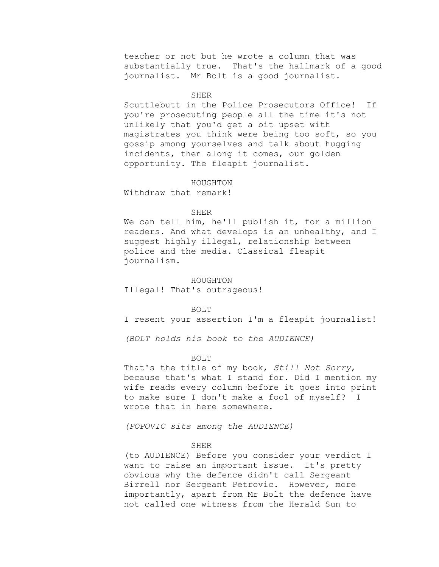teacher or not but he wrote a column that was substantially true. That's the hallmark of a good journalist. Mr Bolt is a good journalist.

### **SHER**

Scuttlebutt in the Police Prosecutors Office! If you're prosecuting people all the time it's not unlikely that you'd get a bit upset with magistrates you think were being too soft, so you gossip among yourselves and talk about hugging incidents, then along it comes, our golden opportunity. The fleapit journalist.

#### HOUGHTON

Withdraw that remark!

### **SHER**

We can tell him, he'll publish it, for a million readers. And what develops is an unhealthy, and I suggest highly illegal, relationship between police and the media. Classical fleapit journalism.

### HOUGHTON

Illegal! That's outrageous!

#### BOLT

I resent your assertion I'm a fleapit journalist!

*(BOLT holds his book to the AUDIENCE)*

#### BOLT

That's the title of my book, *Still Not Sorry*, because that's what I stand for. Did I mention my wife reads every column before it goes into print to make sure I don't make a fool of myself? I wrote that in here somewhere.

*(POPOVIC sits among the AUDIENCE)*

# SHER

(to AUDIENCE) Before you consider your verdict I want to raise an important issue. It's pretty obvious why the defence didn't call Sergeant Birrell nor Sergeant Petrovic. However, more importantly, apart from Mr Bolt the defence have not called one witness from the Herald Sun to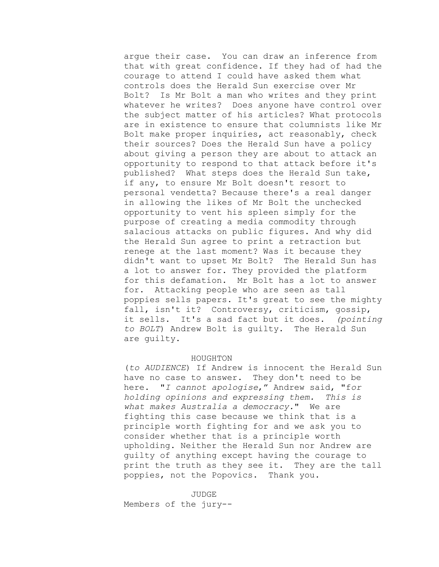argue their case. You can draw an inference from that with great confidence. If they had of had the courage to attend I could have asked them what controls does the Herald Sun exercise over Mr Bolt? Is Mr Bolt a man who writes and they print whatever he writes? Does anyone have control over the subject matter of his articles? What protocols are in existence to ensure that columnists like Mr Bolt make proper inquiries, act reasonably, check their sources? Does the Herald Sun have a policy about giving a person they are about to attack an opportunity to respond to that attack before it's published? What steps does the Herald Sun take, if any, to ensure Mr Bolt doesn't resort to personal vendetta? Because there's a real danger in allowing the likes of Mr Bolt the unchecked opportunity to vent his spleen simply for the purpose of creating a media commodity through salacious attacks on public figures. And why did the Herald Sun agree to print a retraction but renege at the last moment? Was it because they didn't want to upset Mr Bolt? The Herald Sun has a lot to answer for. They provided the platform for this defamation. Mr Bolt has a lot to answer for. Attacking people who are seen as tall poppies sells papers. It's great to see the mighty fall, isn't it? Controversy, criticism, gossip, it sells. It's a sad fact but it does. *(pointing to BOLT*) Andrew Bolt is guilty. The Herald Sun are guilty.

### HOUGHTON

(*to AUDIENCE*) If Andrew is innocent the Herald Sun have no case to answer. They don't need to be here. "*I cannot apologise*," Andrew said, "f*or holding opinions and expressing them. This is what makes Australia a democracy.*" We are fighting this case because we think that is a principle worth fighting for and we ask you to consider whether that is a principle worth upholding. Neither the Herald Sun nor Andrew are guilty of anything except having the courage to print the truth as they see it. They are the tall poppies, not the Popovics. Thank you.

JUDGE Members of the jury--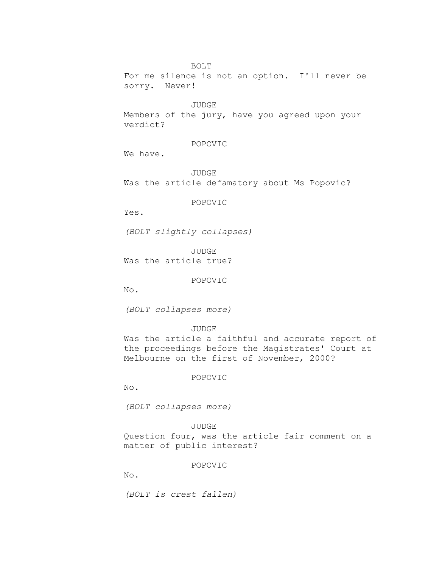For me silence is not an option. I'll never be sorry. Never!

JUDGE

Members of the jury, have you agreed upon your verdict?

### POPOVIC

We have.

JUDGE Was the article defamatory about Ms Popovic?

POPOVIC

Yes.

*(BOLT slightly collapses)*

JUDGE Was the article true?

POPOVIC

No.

*(BOLT collapses more)*

### JUDGE

Was the article a faithful and accurate report of the proceedings before the Magistrates' Court at Melbourne on the first of November, 2000?

### POPOVIC

No.

*(BOLT collapses more)*

# JUDGE

Question four, was the article fair comment on a matter of public interest?

# POPOVIC

No.

*(BOLT is crest fallen)*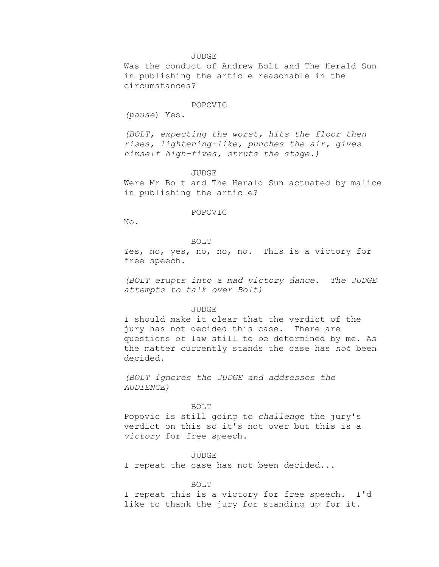#### JUDGE

Was the conduct of Andrew Bolt and The Herald Sun in publishing the article reasonable in the circumstances?

#### POPOVIC

*(pause*) Yes.

*(BOLT, expecting the worst, hits the floor then rises, lightening-like, punches the air, gives himself high-fives, struts the stage.)*

JUDGE

Were Mr Bolt and The Herald Sun actuated by malice in publishing the article?

# POPOVIC

No.

#### BOLT

Yes, no, yes, no, no, no. This is a victory for free speech.

*(BOLT erupts into a mad victory dance. The JUDGE attempts to talk over Bolt)*

### JUDGE

I should make it clear that the verdict of the jury has not decided this case. There are questions of law still to be determined by me. As the matter currently stands the case has *not* been decided.

*(BOLT ignores the JUDGE and addresses the AUDIENCE)*

#### BOLT

Popovic is still going to *challenge* the jury's verdict on this so it's not over but this is a *victory* for free speech.

JUDGE

I repeat the case has not been decided...

#### BOLT

I repeat this is a victory for free speech. I'd like to thank the jury for standing up for it.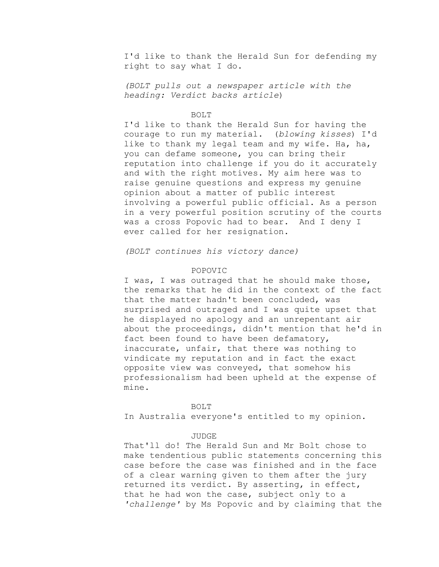I'd like to thank the Herald Sun for defending my right to say what I do.

*(BOLT pulls out a newspaper article with the heading: Verdict backs article*)

#### BOLT

I'd like to thank the Herald Sun for having the courage to run my material. (*blowing kisses*) I'd like to thank my legal team and my wife. Ha, ha, you can defame someone, you can bring their reputation into challenge if you do it accurately and with the right motives. My aim here was to raise genuine questions and express my genuine opinion about a matter of public interest involving a powerful public official. As a person in a very powerful position scrutiny of the courts was a cross Popovic had to bear. And I deny I ever called for her resignation.

*(BOLT continues his victory dance)*

# POPOVIC

I was, I was outraged that he should make those, the remarks that he did in the context of the fact that the matter hadn't been concluded, was surprised and outraged and I was quite upset that he displayed no apology and an unrepentant air about the proceedings, didn't mention that he'd in fact been found to have been defamatory, inaccurate, unfair, that there was nothing to vindicate my reputation and in fact the exact opposite view was conveyed, that somehow his professionalism had been upheld at the expense of mine.

#### BOLT

In Australia everyone's entitled to my opinion.

#### JUDGE

That'll do! The Herald Sun and Mr Bolt chose to make tendentious public statements concerning this case before the case was finished and in the face of a clear warning given to them after the jury returned its verdict. By asserting, in effect, that he had won the case, subject only to a *'challenge'* by Ms Popovic and by claiming that the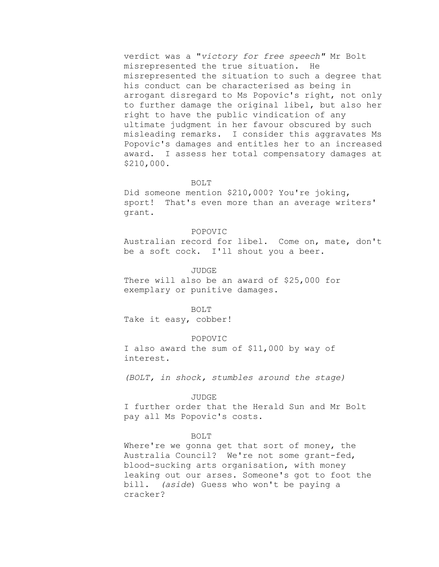verdict was a "*victory for free speech"* Mr Bolt misrepresented the true situation. He misrepresented the situation to such a degree that his conduct can be characterised as being in arrogant disregard to Ms Popovic's right, not only to further damage the original libel, but also her right to have the public vindication of any ultimate judgment in her favour obscured by such misleading remarks. I consider this aggravates Ms Popovic's damages and entitles her to an increased award. I assess her total compensatory damages at \$210,000.

### BOLT

Did someone mention \$210,000? You're joking, sport! That's even more than an average writers' grant.

#### POPOVIC

Australian record for libel. Come on, mate, don't be a soft cock. I'll shout you a beer.

### JUDGE

There will also be an award of \$25,000 for exemplary or punitive damages.

BOLT

Take it easy, cobber!

#### POPOVIC

I also award the sum of \$11,000 by way of interest.

*(BOLT, in shock, stumbles around the stage)*

### JUDGE

I further order that the Herald Sun and Mr Bolt pay all Ms Popovic's costs.

### BOLT

Where're we gonna get that sort of money, the Australia Council? We're not some grant-fed, blood-sucking arts organisation, with money leaking out our arses. Someone's got to foot the bill. *(aside*) Guess who won't be paying a cracker?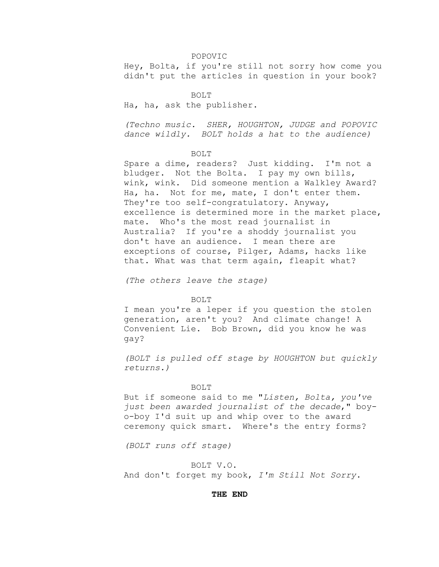#### POPOVIC

Hey, Bolta, if you're still not sorry how come you didn't put the articles in question in your book?

BOLT

Ha, ha, ask the publisher.

*(Techno music. SHER, HOUGHTON, JUDGE and POPOVIC dance wildly. BOLT holds a hat to the audience)*

#### BOLT

Spare a dime, readers? Just kidding. I'm not a bludger. Not the Bolta. I pay my own bills, wink, wink. Did someone mention a Walkley Award? Ha, ha. Not for me, mate, I don't enter them. They're too self-congratulatory. Anyway, excellence is determined more in the market place, mate. Who's the most read journalist in Australia? If you're a shoddy journalist you don't have an audience. I mean there are exceptions of course, Pilger, Adams, hacks like that. What was that term again, fleapit what?

*(The others leave the stage)*

### BOLT

I mean you're a leper if you question the stolen generation, aren't you? And climate change! A Convenient Lie. Bob Brown, did you know he was gay?

*(BOLT is pulled off stage by HOUGHTON but quickly returns.)*

#### BOLT

But if someone said to me "*Listen, Bolta, you've just been awarded journalist of the decade*," boyo-boy I'd suit up and whip over to the award ceremony quick smart. Where's the entry forms?

*(BOLT runs off stage)*

### BOLT V.O.

And don't forget my book, *I'm Still Not Sorry*.

# **THE END**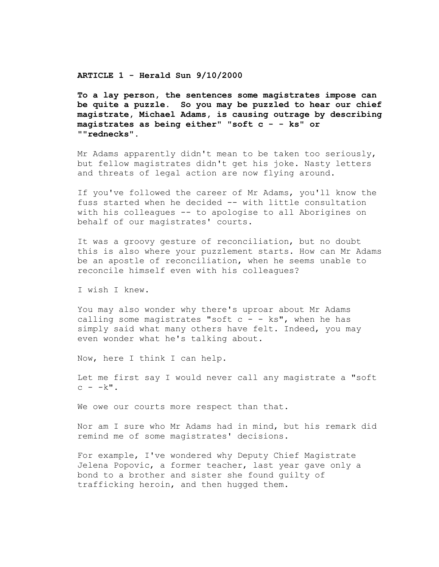**ARTICLE 1 - Herald Sun 9/10/2000** 

**To a lay person, the sentences some magistrates impose can be quite a puzzle. So you may be puzzled to hear our chief magistrate, Michael Adams, is causing outrage by describing magistrates as being either" "soft c - - ks" or ""rednecks".**

Mr Adams apparently didn't mean to be taken too seriously, but fellow magistrates didn't get his joke. Nasty letters and threats of legal action are now flying around.

If you've followed the career of Mr Adams, you'll know the fuss started when he decided -- with little consultation with his colleagues -- to apologise to all Aborigines on behalf of our magistrates' courts.

It was a groovy gesture of reconciliation, but no doubt this is also where your puzzlement starts. How can Mr Adams be an apostle of reconciliation, when he seems unable to reconcile himself even with his colleagues?

I wish I knew.

You may also wonder why there's uproar about Mr Adams calling some magistrates "soft  $c - - k s$ ", when he has simply said what many others have felt. Indeed, you may even wonder what he's talking about.

Now, here I think I can help.

Let me first say I would never call any magistrate a "soft  $c - k$ ".

We owe our courts more respect than that.

Nor am I sure who Mr Adams had in mind, but his remark did remind me of some magistrates' decisions.

For example, I've wondered why Deputy Chief Magistrate Jelena Popovic, a former teacher, last year gave only a bond to a brother and sister she found guilty of trafficking heroin, and then hugged them.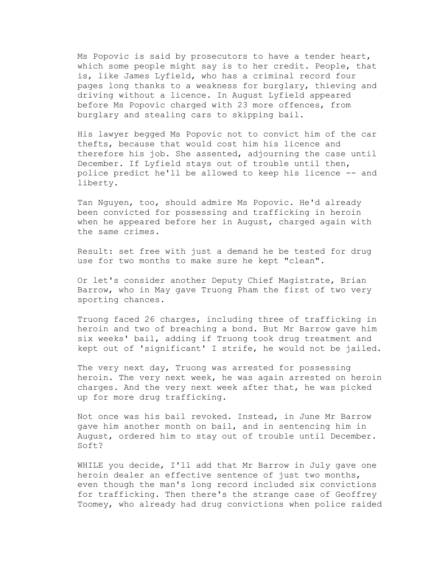Ms Popovic is said by prosecutors to have a tender heart, which some people might say is to her credit. People, that is, like James Lyfield, who has a criminal record four pages long thanks to a weakness for burglary, thieving and driving without a licence. In August Lyfield appeared before Ms Popovic charged with 23 more offences, from burglary and stealing cars to skipping bail.

His lawyer begged Ms Popovic not to convict him of the car thefts, because that would cost him his licence and therefore his job. She assented, adjourning the case until December. If Lyfield stays out of trouble until then, police predict he'll be allowed to keep his licence -- and liberty.

Tan Nguyen, too, should admire Ms Popovic. He'd already been convicted for possessing and trafficking in heroin when he appeared before her in August, charged again with the same crimes.

Result: set free with just a demand he be tested for drug use for two months to make sure he kept "clean".

Or let's consider another Deputy Chief Magistrate, Brian Barrow, who in May gave Truong Pham the first of two very sporting chances.

Truong faced 26 charges, including three of trafficking in heroin and two of breaching a bond. But Mr Barrow gave him six weeks' bail, adding if Truong took drug treatment and kept out of 'significant' I strife, he would not be jailed.

The very next day, Truong was arrested for possessing heroin. The very next week, he was again arrested on heroin charges. And the very next week after that, he was picked up for more drug trafficking.

Not once was his bail revoked. Instead, in June Mr Barrow gave him another month on bail, and in sentencing him in August, ordered him to stay out of trouble until December. Soft?

WHILE you decide, I'll add that Mr Barrow in July gave one heroin dealer an effective sentence of just two months, even though the man's long record included six convictions for trafficking. Then there's the strange case of Geoffrey Toomey, who already had drug convictions when police raided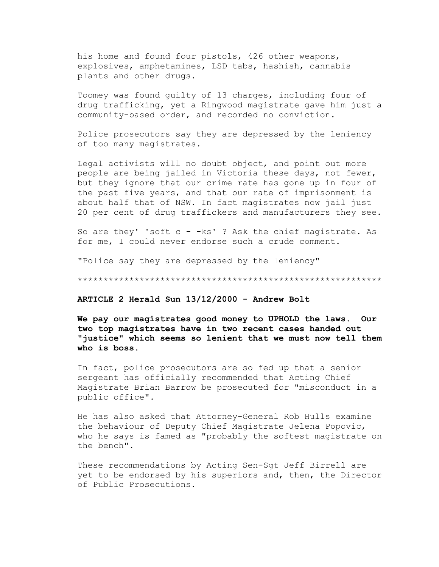his home and found four pistols, 426 other weapons, explosives, amphetamines, LSD tabs, hashish, cannabis plants and other drugs.

Toomey was found guilty of 13 charges, including four of drug trafficking, yet a Ringwood magistrate gave him just a community-based order, and recorded no conviction.

Police prosecutors say they are depressed by the leniency of too many magistrates.

Legal activists will no doubt object, and point out more people are being jailed in Victoria these days, not fewer, but they ignore that our crime rate has gone up in four of the past five years, and that our rate of imprisonment is about half that of NSW. In fact magistrates now jail just 20 per cent of drug traffickers and manufacturers they see.

So are they' 'soft  $c - -ks'$  ? Ask the chief magistrate. As for me, I could never endorse such a crude comment.

"Police say they are depressed by the leniency"

\*\*\*\*\*\*\*\*\*\*\*\*\*\*\*\*\*\*\*\*\*\*\*\*\*\*\*\*\*\*\*\*\*\*\*\*\*\*\*\*\*\*\*\*\*\*\*\*\*\*\*\*\*\*\*\*\*\*\*

**ARTICLE 2 Herald Sun 13/12/2000 - Andrew Bolt**

**We pay our magistrates good money to UPHOLD the laws. Our two top magistrates have in two recent cases handed out "justice" which seems so lenient that we must now tell them who is boss.**

In fact, police prosecutors are so fed up that a senior sergeant has officially recommended that Acting Chief Magistrate Brian Barrow be prosecuted for "misconduct in a public office".

He has also asked that Attorney-General Rob Hulls examine the behaviour of Deputy Chief Magistrate Jelena Popovic, who he says is famed as "probably the softest magistrate on the bench".

These recommendations by Acting Sen-Sgt Jeff Birrell are yet to be endorsed by his superiors and, then, the Director of Public Prosecutions.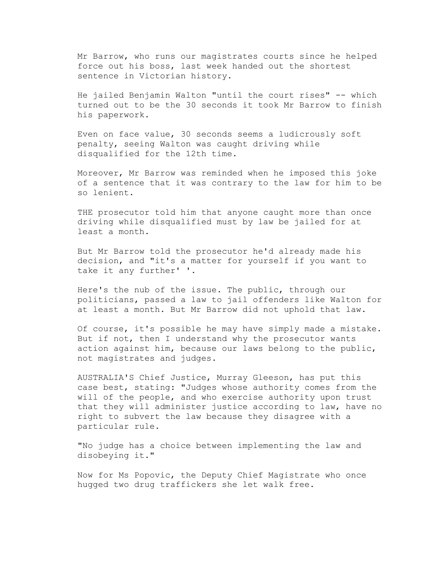Mr Barrow, who runs our magistrates courts since he helped force out his boss, last week handed out the shortest sentence in Victorian history.

He jailed Benjamin Walton "until the court rises" -- which turned out to be the 30 seconds it took Mr Barrow to finish his paperwork.

Even on face value, 30 seconds seems a ludicrously soft penalty, seeing Walton was caught driving while disqualified for the 12th time.

Moreover, Mr Barrow was reminded when he imposed this joke of a sentence that it was contrary to the law for him to be so lenient.

THE prosecutor told him that anyone caught more than once driving while disqualified must by law be jailed for at least a month.

But Mr Barrow told the prosecutor he'd already made his decision, and "it's a matter for yourself if you want to take it any further' '.

Here's the nub of the issue. The public, through our politicians, passed a law to jail offenders like Walton for at least a month. But Mr Barrow did not uphold that law.

Of course, it's possible he may have simply made a mistake. But if not, then I understand why the prosecutor wants action against him, because our laws belong to the public, not magistrates and judges.

AUSTRALIA'S Chief Justice, Murray Gleeson, has put this case best, stating: "Judges whose authority comes from the will of the people, and who exercise authority upon trust that they will administer justice according to law, have no right to subvert the law because they disagree with a particular rule.

"No judge has a choice between implementing the law and disobeying it."

Now for Ms Popovic, the Deputy Chief Magistrate who once hugged two drug traffickers she let walk free.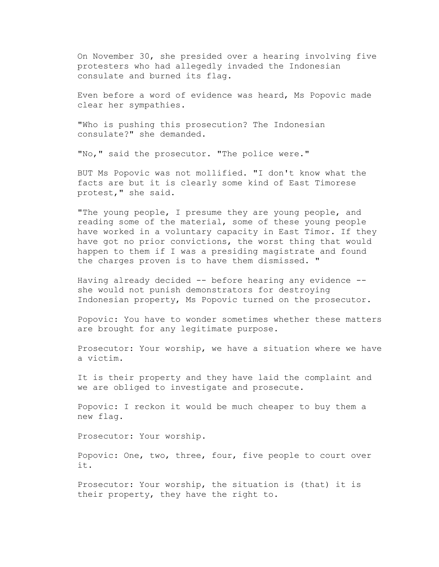On November 30, she presided over a hearing involving five protesters who had allegedly invaded the Indonesian consulate and burned its flag.

Even before a word of evidence was heard, Ms Popovic made clear her sympathies.

"Who is pushing this prosecution? The Indonesian consulate?" she demanded.

"No," said the prosecutor. "The police were."

BUT Ms Popovic was not mollified. "I don't know what the facts are but it is clearly some kind of East Timorese protest," she said.

"The young people, I presume they are young people, and reading some of the material, some of these young people have worked in a voluntary capacity in East Timor. If they have got no prior convictions, the worst thing that would happen to them if I was a presiding magistrate and found the charges proven is to have them dismissed. "

Having already decided -- before hearing any evidence - she would not punish demonstrators for destroying Indonesian property, Ms Popovic turned on the prosecutor.

Popovic: You have to wonder sometimes whether these matters are brought for any legitimate purpose.

Prosecutor: Your worship, we have a situation where we have a victim.

It is their property and they have laid the complaint and we are obliged to investigate and prosecute.

Popovic: I reckon it would be much cheaper to buy them a new flag.

Prosecutor: Your worship.

Popovic: One, two, three, four, five people to court over it.

Prosecutor: Your worship, the situation is (that) it is their property, they have the right to.